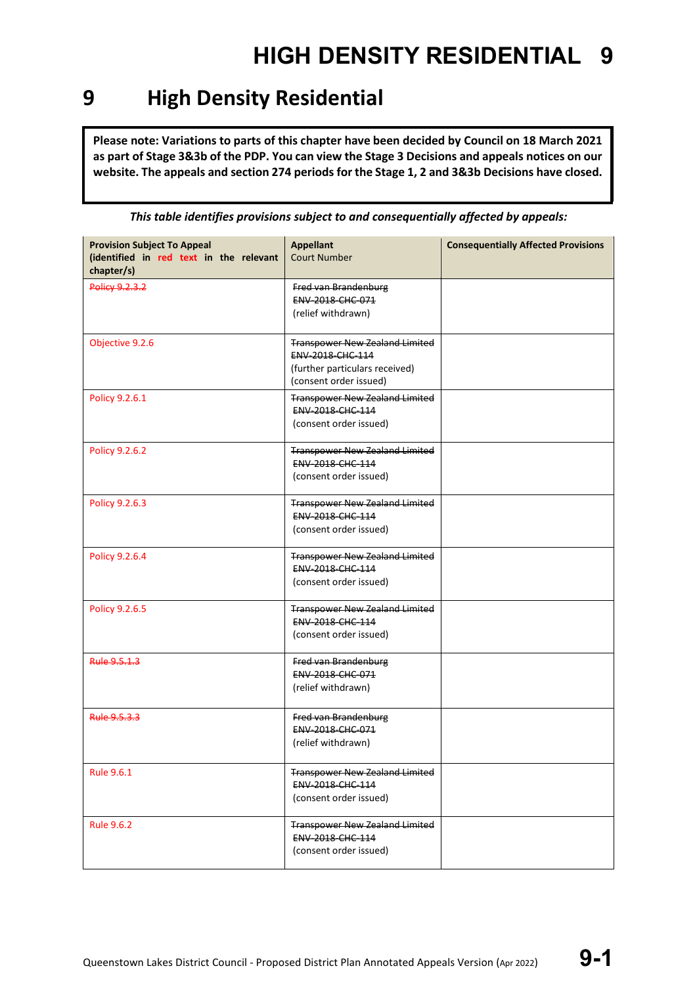### **9 High Density Residential**

**Please note: Variations to parts of this chapter have been decided by Council on 18 March 2021 as part of Stage 3&3b of the PDP. You can view the Stage 3 Decisions and appeals notices on our**  website. The appeals and section 274 periods for the Stage 1, 2 and 3&3b Decisions have closed.

| <b>Provision Subject To Appeal</b><br>(identified in red text in the relevant<br>chapter/s) | <b>Appellant</b><br><b>Court Number</b>                                                                                      | <b>Consequentially Affected Provisions</b> |
|---------------------------------------------------------------------------------------------|------------------------------------------------------------------------------------------------------------------------------|--------------------------------------------|
| <b>Policy 9.2.3.2</b>                                                                       | Fred van Brandenburg<br>ENV-2018-CHC-071<br>(relief withdrawn)                                                               |                                            |
| Objective 9.2.6                                                                             | <b>Transpower New Zealand Limited</b><br><b>ENV-2018-CHC-114</b><br>(further particulars received)<br>(consent order issued) |                                            |
| Policy 9.2.6.1                                                                              | <b>Transpower New Zealand Limited</b><br><b>ENV 2018 CHC 114</b><br>(consent order issued)                                   |                                            |
| Policy 9.2.6.2                                                                              | <b>Transpower New Zealand Limited</b><br>ENV-2018-CHC-114<br>(consent order issued)                                          |                                            |
| Policy 9.2.6.3                                                                              | <b>Transpower New Zealand Limited</b><br>ENV-2018-CHC-114<br>(consent order issued)                                          |                                            |
| Policy 9.2.6.4                                                                              | <b>Transpower New Zealand Limited</b><br>ENV-2018-CHC-114<br>(consent order issued)                                          |                                            |
| Policy 9.2.6.5                                                                              | <b>Transpower New Zealand Limited</b><br><b>ENV 2018 CHC 114</b><br>(consent order issued)                                   |                                            |
| Rule 9.5.1.3                                                                                | Fred van Brandenburg<br>ENV-2018-CHC-071<br>(relief withdrawn)                                                               |                                            |
| Rule 9.5.3.3                                                                                | Fred van Brandenburg<br>ENV-2018-CHC-071<br>(relief withdrawn)                                                               |                                            |
| <b>Rule 9.6.1</b>                                                                           | <b>Transpower New Zealand Limited</b><br>ENV-2018-CHC-114<br>(consent order issued)                                          |                                            |
| <b>Rule 9.6.2</b>                                                                           | <b>Transpower New Zealand Limited</b><br>ENV-2018-CHC-114<br>(consent order issued)                                          |                                            |

*This table identifies provisions subject to and consequentially affected by appeals:*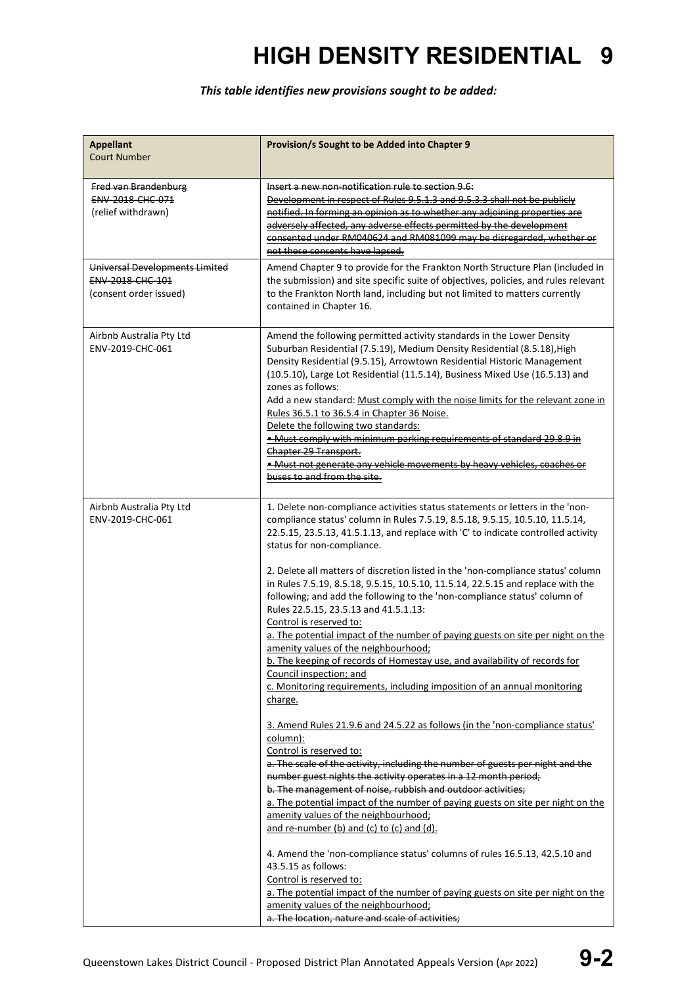### *This table identifies new provisions sought to be added:*

| <b>Appellant</b><br><b>Court Number</b>                                             | Provision/s Sought to be Added into Chapter 9                                                                                                                                                                                                                                                                                                                                                                                                                                                                                                                                                                                                                                                                                                                                                                                                                                                                                       |
|-------------------------------------------------------------------------------------|-------------------------------------------------------------------------------------------------------------------------------------------------------------------------------------------------------------------------------------------------------------------------------------------------------------------------------------------------------------------------------------------------------------------------------------------------------------------------------------------------------------------------------------------------------------------------------------------------------------------------------------------------------------------------------------------------------------------------------------------------------------------------------------------------------------------------------------------------------------------------------------------------------------------------------------|
| Fred van Brandenburg<br>ENV-2018-CHC-071<br>(relief withdrawn)                      | Insert a new non-notification rule to section 9.6:<br>Development in respect of Rules 9.5.1.3 and 9.5.3.3 shall not be publicly<br>notified. In forming an opinion as to whether any adjoining properties are<br>adversely affected, any adverse effects permitted by the development<br>consented under RM040624 and RM081099 may be disregarded, whether or<br>not these consents have lapsed.                                                                                                                                                                                                                                                                                                                                                                                                                                                                                                                                    |
| Universal Developments Limited<br><b>ENV 2018 CHC 101</b><br>(consent order issued) | Amend Chapter 9 to provide for the Frankton North Structure Plan (included in<br>the submission) and site specific suite of objectives, policies, and rules relevant<br>to the Frankton North land, including but not limited to matters currently<br>contained in Chapter 16.                                                                                                                                                                                                                                                                                                                                                                                                                                                                                                                                                                                                                                                      |
| Airbnb Australia Pty Ltd<br>ENV-2019-CHC-061                                        | Amend the following permitted activity standards in the Lower Density<br>Suburban Residential (7.5.19), Medium Density Residential (8.5.18), High<br>Density Residential (9.5.15), Arrowtown Residential Historic Management<br>(10.5.10), Large Lot Residential (11.5.14), Business Mixed Use (16.5.13) and<br>zones as follows:<br>Add a new standard: Must comply with the noise limits for the relevant zone in<br>Rules 36.5.1 to 36.5.4 in Chapter 36 Noise.<br>Delete the following two standards:<br>. Must comply with minimum parking requirements of standard 29.8.9 in<br>Chapter 29 Transport.<br>. Must not generate any vehicle movements by heavy vehicles, coaches or<br>buses to and from the site.                                                                                                                                                                                                               |
| Airbnb Australia Pty Ltd<br>ENV-2019-CHC-061                                        | 1. Delete non-compliance activities status statements or letters in the 'non-<br>compliance status' column in Rules 7.5.19, 8.5.18, 9.5.15, 10.5.10, 11.5.14,<br>22.5.15, 23.5.13, 41.5.1.13, and replace with 'C' to indicate controlled activity<br>status for non-compliance.<br>2. Delete all matters of discretion listed in the 'non-compliance status' column<br>in Rules 7.5.19, 8.5.18, 9.5.15, 10.5.10, 11.5.14, 22.5.15 and replace with the<br>following; and add the following to the 'non-compliance status' column of<br>Rules 22.5.15, 23.5.13 and 41.5.1.13:<br>Control is reserved to:<br>a. The potential impact of the number of paying guests on site per night on the<br>amenity values of the neighbourhood;<br>b. The keeping of records of Homestay use, and availability of records for<br>Council inspection; and<br>c. Monitoring requirements, including imposition of an annual monitoring<br>charge. |
|                                                                                     | 3. Amend Rules 21.9.6 and 24.5.22 as follows (in the 'non-compliance status'<br>column):<br>Control is reserved to:<br>a. The scale of the activity, including the number of guests per night and the<br>number guest nights the activity operates in a 12 month period;<br>b. The management of noise, rubbish and outdoor activities;<br>a. The potential impact of the number of paying guests on site per night on the<br>amenity values of the neighbourhood;<br>and re-number (b) and (c) to (c) and (d).<br>4. Amend the 'non-compliance status' columns of rules 16.5.13, 42.5.10 and<br>43.5.15 as follows:<br>Control is reserved to:<br>a. The potential impact of the number of paying guests on site per night on the<br>amenity values of the neighbourhood;<br>a. The location, nature and scale of activities;                                                                                                      |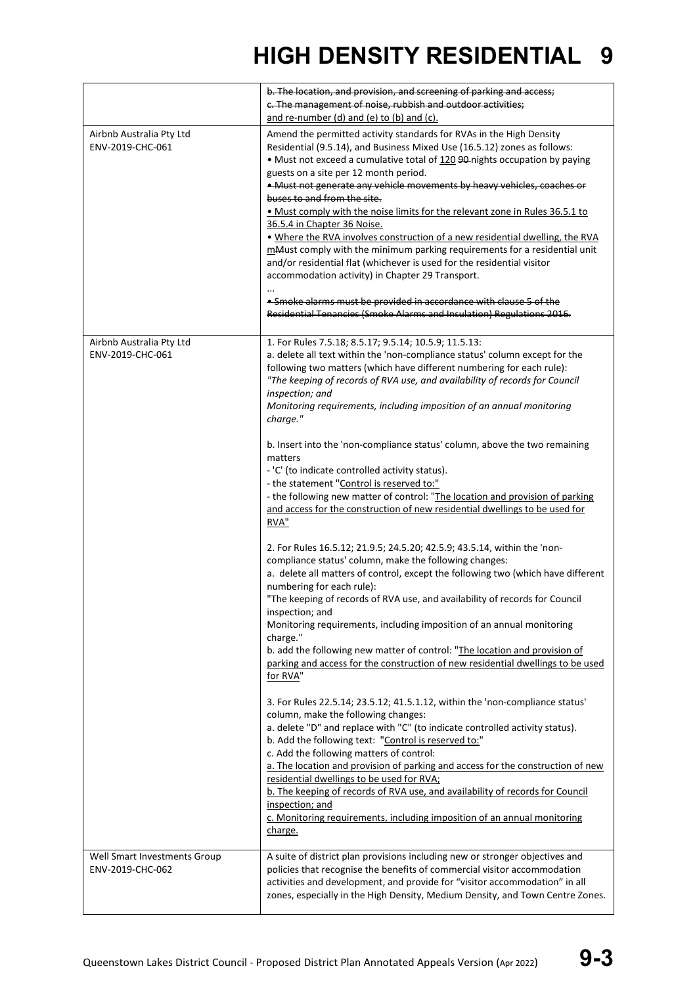|                                                  | b. The location, and provision, and screening of parking and access;<br>c. The management of noise, rubbish and outdoor activities;<br>and re-number (d) and (e) to (b) and (c).                                                                                                                                                                                                                                                                                                                                                                                                                                                                                                                                                                                                                                                                                                                                                                                                                                                                                                                                                                                                                                                                                                                                                                                                                                                                                                                                                                                                                                                                                                                                                                                                                                                                                                                                                                                                                                                       |
|--------------------------------------------------|----------------------------------------------------------------------------------------------------------------------------------------------------------------------------------------------------------------------------------------------------------------------------------------------------------------------------------------------------------------------------------------------------------------------------------------------------------------------------------------------------------------------------------------------------------------------------------------------------------------------------------------------------------------------------------------------------------------------------------------------------------------------------------------------------------------------------------------------------------------------------------------------------------------------------------------------------------------------------------------------------------------------------------------------------------------------------------------------------------------------------------------------------------------------------------------------------------------------------------------------------------------------------------------------------------------------------------------------------------------------------------------------------------------------------------------------------------------------------------------------------------------------------------------------------------------------------------------------------------------------------------------------------------------------------------------------------------------------------------------------------------------------------------------------------------------------------------------------------------------------------------------------------------------------------------------------------------------------------------------------------------------------------------------|
| Airbnb Australia Pty Ltd<br>ENV-2019-CHC-061     | Amend the permitted activity standards for RVAs in the High Density<br>Residential (9.5.14), and Business Mixed Use (16.5.12) zones as follows:<br>• Must not exceed a cumulative total of 120 90-nights occupation by paying<br>guests on a site per 12 month period.<br>. Must not generate any vehicle movements by heavy vehicles, coaches or<br>buses to and from the site.<br>. Must comply with the noise limits for the relevant zone in Rules 36.5.1 to<br>36.5.4 in Chapter 36 Noise.<br>. Where the RVA involves construction of a new residential dwelling, the RVA<br>mMust comply with the minimum parking requirements for a residential unit<br>and/or residential flat (whichever is used for the residential visitor<br>accommodation activity) in Chapter 29 Transport.<br>. Smoke alarms must be provided in accordance with clause 5 of the<br>Residential Tenancies (Smoke Alarms and Insulation) Regulations 2016.                                                                                                                                                                                                                                                                                                                                                                                                                                                                                                                                                                                                                                                                                                                                                                                                                                                                                                                                                                                                                                                                                              |
| Airbnb Australia Pty Ltd<br>ENV-2019-CHC-061     | 1. For Rules 7.5.18; 8.5.17; 9.5.14; 10.5.9; 11.5.13:<br>a. delete all text within the 'non-compliance status' column except for the<br>following two matters (which have different numbering for each rule):<br>"The keeping of records of RVA use, and availability of records for Council<br>inspection; and<br>Monitoring requirements, including imposition of an annual monitoring<br>charge."<br>b. Insert into the 'non-compliance status' column, above the two remaining<br>matters<br>- 'C' (to indicate controlled activity status).<br>- the statement "Control is reserved to:"<br>- the following new matter of control: "The location and provision of parking<br>and access for the construction of new residential dwellings to be used for<br>RVA"<br>2. For Rules 16.5.12; 21.9.5; 24.5.20; 42.5.9; 43.5.14, within the 'non-<br>compliance status' column, make the following changes:<br>a. delete all matters of control, except the following two (which have different<br>numbering for each rule):<br>"The keeping of records of RVA use, and availability of records for Council<br>inspection; and<br>Monitoring requirements, including imposition of an annual monitoring<br>charge."<br>b. add the following new matter of control: "The location and provision of<br>parking and access for the construction of new residential dwellings to be used<br>for RVA"<br>3. For Rules 22.5.14; 23.5.12; 41.5.1.12, within the 'non-compliance status'<br>column, make the following changes:<br>a. delete "D" and replace with "C" (to indicate controlled activity status).<br>b. Add the following text: "Control is reserved to:"<br>c. Add the following matters of control:<br>a. The location and provision of parking and access for the construction of new<br>residential dwellings to be used for RVA;<br>b. The keeping of records of RVA use, and availability of records for Council<br>inspection; and<br>c. Monitoring requirements, including imposition of an annual monitoring<br>charge. |
| Well Smart Investments Group<br>ENV-2019-CHC-062 | A suite of district plan provisions including new or stronger objectives and<br>policies that recognise the benefits of commercial visitor accommodation<br>activities and development, and provide for "visitor accommodation" in all<br>zones, especially in the High Density, Medium Density, and Town Centre Zones.                                                                                                                                                                                                                                                                                                                                                                                                                                                                                                                                                                                                                                                                                                                                                                                                                                                                                                                                                                                                                                                                                                                                                                                                                                                                                                                                                                                                                                                                                                                                                                                                                                                                                                                |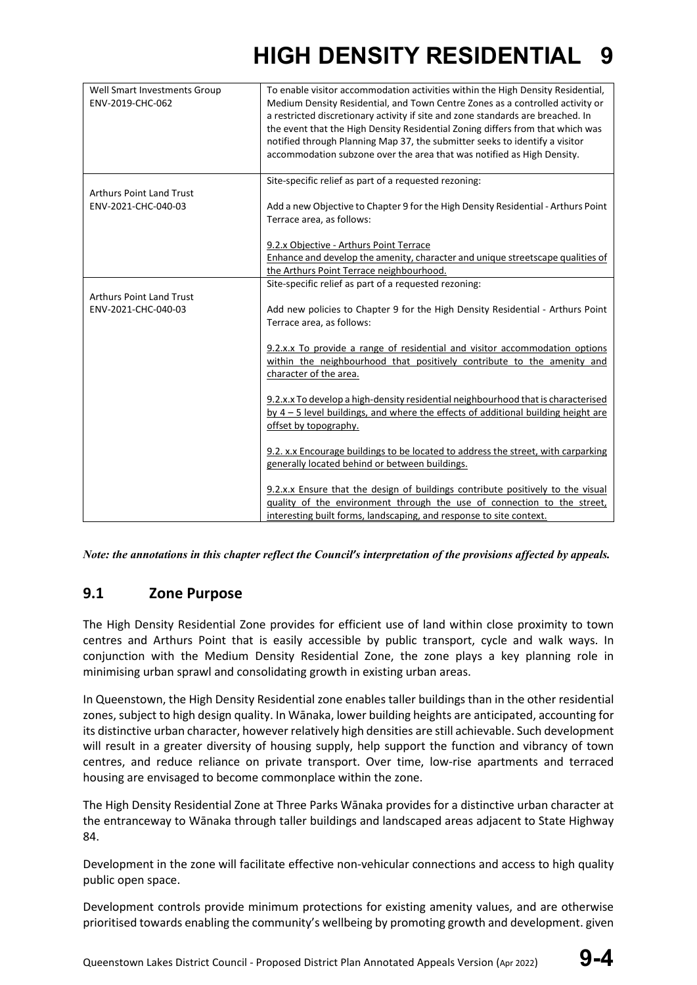| Well Smart Investments Group<br>ENV-2019-CHC-062       | To enable visitor accommodation activities within the High Density Residential,<br>Medium Density Residential, and Town Centre Zones as a controlled activity or<br>a restricted discretionary activity if site and zone standards are breached. In<br>the event that the High Density Residential Zoning differs from that which was<br>notified through Planning Map 37, the submitter seeks to identify a visitor<br>accommodation subzone over the area that was notified as High Density. |
|--------------------------------------------------------|------------------------------------------------------------------------------------------------------------------------------------------------------------------------------------------------------------------------------------------------------------------------------------------------------------------------------------------------------------------------------------------------------------------------------------------------------------------------------------------------|
| <b>Arthurs Point Land Trust</b><br>ENV-2021-CHC-040-03 | Site-specific relief as part of a requested rezoning:                                                                                                                                                                                                                                                                                                                                                                                                                                          |
|                                                        | Add a new Objective to Chapter 9 for the High Density Residential - Arthurs Point<br>Terrace area, as follows:                                                                                                                                                                                                                                                                                                                                                                                 |
|                                                        | 9.2.x Objective - Arthurs Point Terrace                                                                                                                                                                                                                                                                                                                                                                                                                                                        |
|                                                        | Enhance and develop the amenity, character and unique streetscape qualities of                                                                                                                                                                                                                                                                                                                                                                                                                 |
|                                                        | the Arthurs Point Terrace neighbourhood.                                                                                                                                                                                                                                                                                                                                                                                                                                                       |
|                                                        | Site-specific relief as part of a requested rezoning:                                                                                                                                                                                                                                                                                                                                                                                                                                          |
| <b>Arthurs Point Land Trust</b><br>ENV-2021-CHC-040-03 | Add new policies to Chapter 9 for the High Density Residential - Arthurs Point<br>Terrace area, as follows:                                                                                                                                                                                                                                                                                                                                                                                    |
|                                                        | 9.2.x.x To provide a range of residential and visitor accommodation options<br>within the neighbourhood that positively contribute to the amenity and<br>character of the area.                                                                                                                                                                                                                                                                                                                |
|                                                        | 9.2.x.x To develop a high-density residential neighbourhood that is characterised<br>by $4 - 5$ level buildings, and where the effects of additional building height are<br>offset by topography.                                                                                                                                                                                                                                                                                              |
|                                                        | 9.2. x.x Encourage buildings to be located to address the street, with carparking<br>generally located behind or between buildings.                                                                                                                                                                                                                                                                                                                                                            |
|                                                        | 9.2.x.x Ensure that the design of buildings contribute positively to the visual<br>quality of the environment through the use of connection to the street,<br>interesting built forms, landscaping, and response to site context.                                                                                                                                                                                                                                                              |

*Note: the annotations in this chapter reflect the Council's interpretation of the provisions affected by appeals.*

### **9.1 Zone Purpose**

The High Density Residential Zone provides for efficient use of land within close proximity to town centres and Arthurs Point that is easily accessible by public transport, cycle and walk ways. In conjunction with the Medium Density Residential Zone, the zone plays a key planning role in minimising urban sprawl and consolidating growth in existing urban areas.

In Queenstown, the High Density Residential zone enables taller buildings than in the other residential zones, subject to high design quality. In Wānaka, lower building heights are anticipated, accounting for its distinctive urban character, however relatively high densities are still achievable. Such development will result in a greater diversity of housing supply, help support the function and vibrancy of town centres, and reduce reliance on private transport. Over time, low-rise apartments and terraced housing are envisaged to become commonplace within the zone.

The High Density Residential Zone at Three Parks Wānaka provides for a distinctive urban character at the entranceway to Wānaka through taller buildings and landscaped areas adjacent to State Highway 84.

Development in the zone will facilitate effective non-vehicular connections and access to high quality public open space.

Development controls provide minimum protections for existing amenity values, and are otherwise prioritised towards enabling the community's wellbeing by promoting growth and development. given

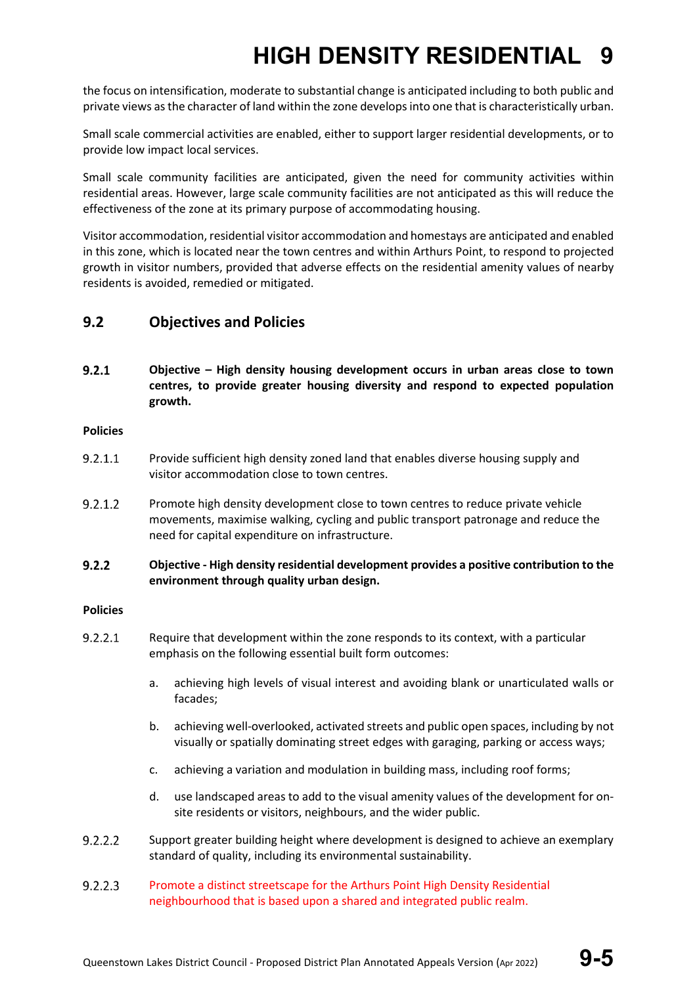the focus on intensification, moderate to substantial change is anticipated including to both public and private views as the character of land within the zone develops into one that is characteristically urban.

Small scale commercial activities are enabled, either to support larger residential developments, or to provide low impact local services.

Small scale community facilities are anticipated, given the need for community activities within residential areas. However, large scale community facilities are not anticipated as this will reduce the effectiveness of the zone at its primary purpose of accommodating housing.

Visitor accommodation, residential visitor accommodation and homestays are anticipated and enabled in this zone, which is located near the town centres and within Arthurs Point, to respond to projected growth in visitor numbers, provided that adverse effects on the residential amenity values of nearby residents is avoided, remedied or mitigated.

### **9.2 Objectives and Policies**

 $9.2.1$ **Objective – High density housing development occurs in urban areas close to town centres, to provide greater housing diversity and respond to expected population growth.**

### **Policies**

- $9.2.1.1$ Provide sufficient high density zoned land that enables diverse housing supply and visitor accommodation close to town centres.
- $9.2.1.2$ Promote high density development close to town centres to reduce private vehicle movements, maximise walking, cycling and public transport patronage and reduce the need for capital expenditure on infrastructure.

### $9.2.2$ **Objective - High density residential development provides a positive contribution to the environment through quality urban design.**

### **Policies**

- $9.2.2.1$ Require that development within the zone responds to its context, with a particular emphasis on the following essential built form outcomes:
	- a. achieving high levels of visual interest and avoiding blank or unarticulated walls or facades;
	- b. achieving well-overlooked, activated streets and public open spaces, including by not visually or spatially dominating street edges with garaging, parking or access ways;
	- c. achieving a variation and modulation in building mass, including roof forms;
	- d. use landscaped areas to add to the visual amenity values of the development for onsite residents or visitors, neighbours, and the wider public.
- $9.2.2.2$ Support greater building height where development is designed to achieve an exemplary standard of quality, including its environmental sustainability.
- $9.2.2.3$ Promote a distinct streetscape for the Arthurs Point High Density Residential neighbourhood that is based upon a shared and integrated public realm.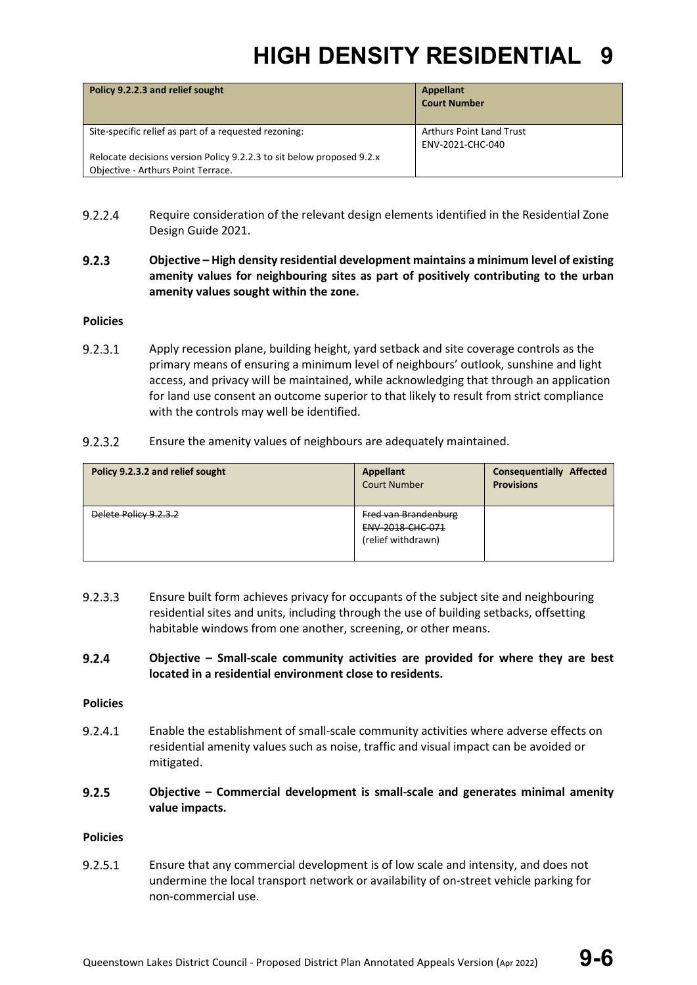| Policy 9.2.2.3 and relief sought                                                                            | Appellant<br><b>Court Number</b>                    |
|-------------------------------------------------------------------------------------------------------------|-----------------------------------------------------|
| Site-specific relief as part of a requested rezoning:                                                       | <b>Arthurs Point Land Trust</b><br>ENV-2021-CHC-040 |
| Relocate decisions version Policy 9.2.2.3 to sit below proposed 9.2.x<br>Objective - Arthurs Point Terrace. |                                                     |

- $9.2.2.4$ Require consideration of the relevant design elements identified in the Residential Zone Design Guide 2021.
- $9.2.3$ **Objective – High density residential development maintains a minimum level of existing amenity values for neighbouring sites as part of positively contributing to the urban amenity values sought within the zone.**

### **Policies**

- 9.2.3.1 Apply recession plane, building height, yard setback and site coverage controls as the primary means of ensuring a minimum level of neighbours' outlook, sunshine and light access, and privacy will be maintained, while acknowledging that through an application for land use consent an outcome superior to that likely to result from strict compliance with the controls may well be identified.
- $9.2.3.2$ Ensure the amenity values of neighbours are adequately maintained.

| Policy 9.2.3.2 and relief sought | <b>Appellant</b><br><b>Court Number</b>                               | <b>Consequentially Affected</b><br><b>Provisions</b> |
|----------------------------------|-----------------------------------------------------------------------|------------------------------------------------------|
| Delete Policy 9.2.3.2            | <b>Fred van Brandenburg</b><br>ENV-2018-CHC-071<br>(relief withdrawn) |                                                      |

- $9.2.3.3$ Ensure built form achieves privacy for occupants of the subject site and neighbouring residential sites and units, including through the use of building setbacks, offsetting habitable windows from one another, screening, or other means.
- $9.2.4$ **Objective – Small-scale community activities are provided for where they are best located in a residential environment close to residents.**

### **Policies**

- $9.2.4.1$ Enable the establishment of small-scale community activities where adverse effects on residential amenity values such as noise, traffic and visual impact can be avoided or mitigated.
- $9.2.5$ **Objective – Commercial development is small-scale and generates minimal amenity value impacts.**

### **Policies**

 $9.2.5.1$ Ensure that any commercial development is of low scale and intensity, and does not undermine the local transport network or availability of on-street vehicle parking for non-commercial use.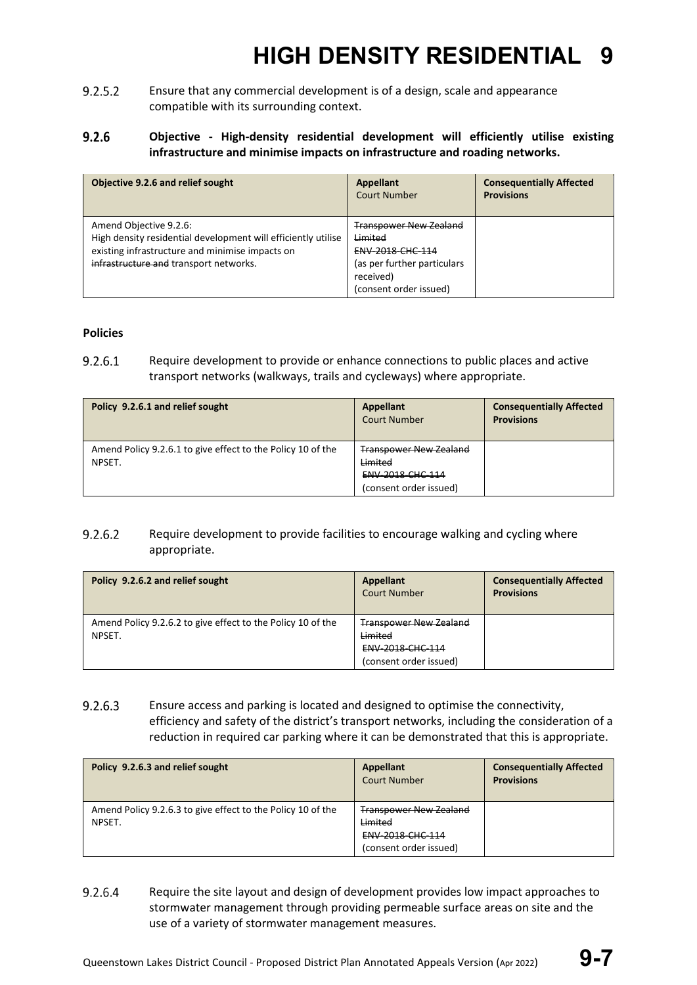$9.2.5.2$ Ensure that any commercial development is of a design, scale and appearance compatible with its surrounding context.

### $9.2.6$ **Objective - High-density residential development will efficiently utilise existing infrastructure and minimise impacts on infrastructure and roading networks.**

| Objective 9.2.6 and relief sought                                                                                                                                                    | Appellant<br>Court Number                                                                                                                            | <b>Consequentially Affected</b><br><b>Provisions</b> |
|--------------------------------------------------------------------------------------------------------------------------------------------------------------------------------------|------------------------------------------------------------------------------------------------------------------------------------------------------|------------------------------------------------------|
| Amend Objective 9.2.6:<br>High density residential development will efficiently utilise<br>existing infrastructure and minimise impacts on<br>infrastructure and transport networks. | <b>Transpower New Zealand</b><br><del>Limited</del><br><b>ENV 2018 CHC 114</b><br>(as per further particulars<br>received)<br>(consent order issued) |                                                      |

### **Policies**

9.2.6.1 Require development to provide or enhance connections to public places and active transport networks (walkways, trails and cycleways) where appropriate.

| Policy 9.2.6.1 and relief sought                            | <b>Appellant</b><br><b>Court Number</b> | <b>Consequentially Affected</b><br><b>Provisions</b> |
|-------------------------------------------------------------|-----------------------------------------|------------------------------------------------------|
| Amend Policy 9.2.6.1 to give effect to the Policy 10 of the | <b>Transpower New Zealand</b>           |                                                      |
| NPSET.                                                      | Limited                                 |                                                      |
|                                                             | ENV-2018-CHC-114                        |                                                      |
|                                                             | (consent order issued)                  |                                                      |

### $9.2.6.2$ Require development to provide facilities to encourage walking and cycling where appropriate.

| Policy 9.2.6.2 and relief sought                            | Appellant<br><b>Court Number</b> | <b>Consequentially Affected</b><br><b>Provisions</b> |
|-------------------------------------------------------------|----------------------------------|------------------------------------------------------|
| Amend Policy 9.2.6.2 to give effect to the Policy 10 of the | <b>Transpower New Zealand</b>    |                                                      |
| NPSET.                                                      | Limited                          |                                                      |
|                                                             | ENV-2018-CHC-114                 |                                                      |
|                                                             | (consent order issued)           |                                                      |

### $9.2.6.3$ Ensure access and parking is located and designed to optimise the connectivity, efficiency and safety of the district's transport networks, including the consideration of a reduction in required car parking where it can be demonstrated that this is appropriate.

| Policy 9.2.6.3 and relief sought                            | Appellant<br><b>Court Number</b> | <b>Consequentially Affected</b><br><b>Provisions</b> |
|-------------------------------------------------------------|----------------------------------|------------------------------------------------------|
| Amend Policy 9.2.6.3 to give effect to the Policy 10 of the | <b>Transpower New Zealand</b>    |                                                      |
| NPSET.                                                      | Limited                          |                                                      |
|                                                             | ENV-2018-CHC-114                 |                                                      |
|                                                             | (consent order issued)           |                                                      |

9.2.6.4 Require the site layout and design of development provides low impact approaches to stormwater management through providing permeable surface areas on site and the use of a variety of stormwater management measures.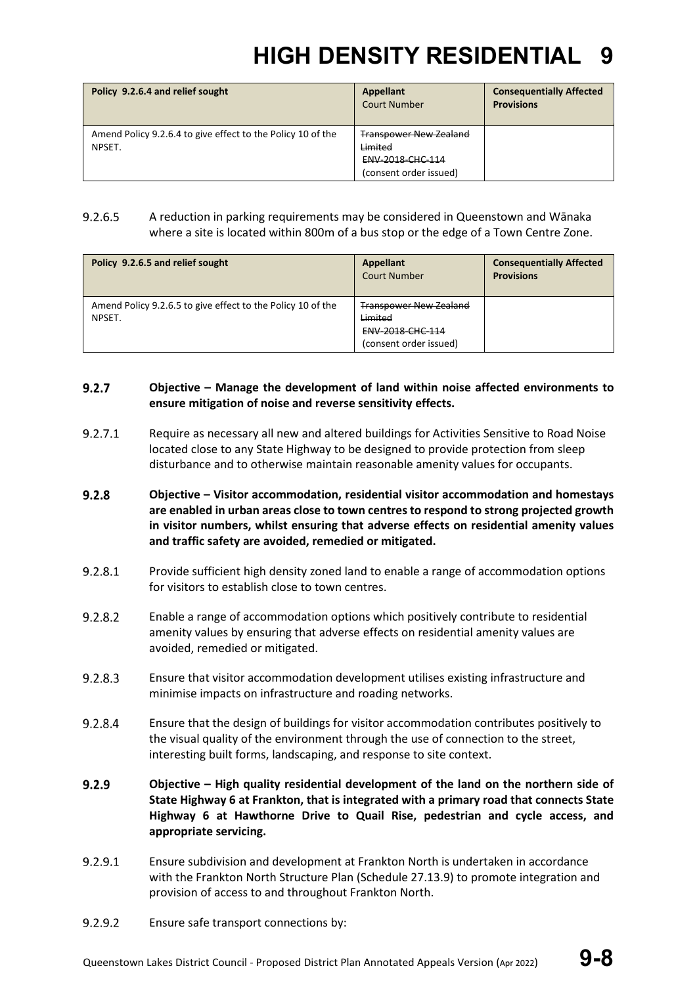| Policy 9.2.6.4 and relief sought                                      | Appellant<br><b>Court Number</b>                             | <b>Consequentially Affected</b><br><b>Provisions</b> |
|-----------------------------------------------------------------------|--------------------------------------------------------------|------------------------------------------------------|
| Amend Policy 9.2.6.4 to give effect to the Policy 10 of the<br>NPSET. | <b>Transpower New Zealand</b><br>Limited<br>ENV-2018-CHC-114 |                                                      |
|                                                                       | (consent order issued)                                       |                                                      |

### $9.2.6.5$ A reduction in parking requirements may be considered in Queenstown and Wānaka where a site is located within 800m of a bus stop or the edge of a Town Centre Zone.

| Policy 9.2.6.5 and relief sought                                      | Appellant<br><b>Court Number</b>                                                              | <b>Consequentially Affected</b><br><b>Provisions</b> |
|-----------------------------------------------------------------------|-----------------------------------------------------------------------------------------------|------------------------------------------------------|
| Amend Policy 9.2.6.5 to give effect to the Policy 10 of the<br>NPSET. | <b>Transpower New Zealand</b><br>Limited<br><b>ENV 2018 CHC 114</b><br>(consent order issued) |                                                      |

### $9.2.7$ **Objective – Manage the development of land within noise affected environments to ensure mitigation of noise and reverse sensitivity effects.**

- $9.2.7.1$ Require as necessary all new and altered buildings for Activities Sensitive to Road Noise located close to any State Highway to be designed to provide protection from sleep disturbance and to otherwise maintain reasonable amenity values for occupants.
- $9.2.8$ **Objective – Visitor accommodation, residential visitor accommodation and homestays are enabled in urban areas close to town centres to respond to strong projected growth in visitor numbers, whilst ensuring that adverse effects on residential amenity values and traffic safety are avoided, remedied or mitigated.**
- 9.2.8.1 Provide sufficient high density zoned land to enable a range of accommodation options for visitors to establish close to town centres.
- $9.2.8.2$ Enable a range of accommodation options which positively contribute to residential amenity values by ensuring that adverse effects on residential amenity values are avoided, remedied or mitigated.
- $9.2.8.3$ Ensure that visitor accommodation development utilises existing infrastructure and minimise impacts on infrastructure and roading networks.
- 9.2.8.4 Ensure that the design of buildings for visitor accommodation contributes positively to the visual quality of the environment through the use of connection to the street, interesting built forms, landscaping, and response to site context.
- $9.2.9$ **Objective – High quality residential development of the land on the northern side of State Highway 6 at Frankton, that is integrated with a primary road that connects State Highway 6 at Hawthorne Drive to Quail Rise, pedestrian and cycle access, and appropriate servicing.**
- 9.2.9.1 Ensure subdivision and development at Frankton North is undertaken in accordance with the Frankton North Structure Plan (Schedule 27.13.9) to promote integration and provision of access to and throughout Frankton North.
- $9.2.9.2$ Ensure safe transport connections by: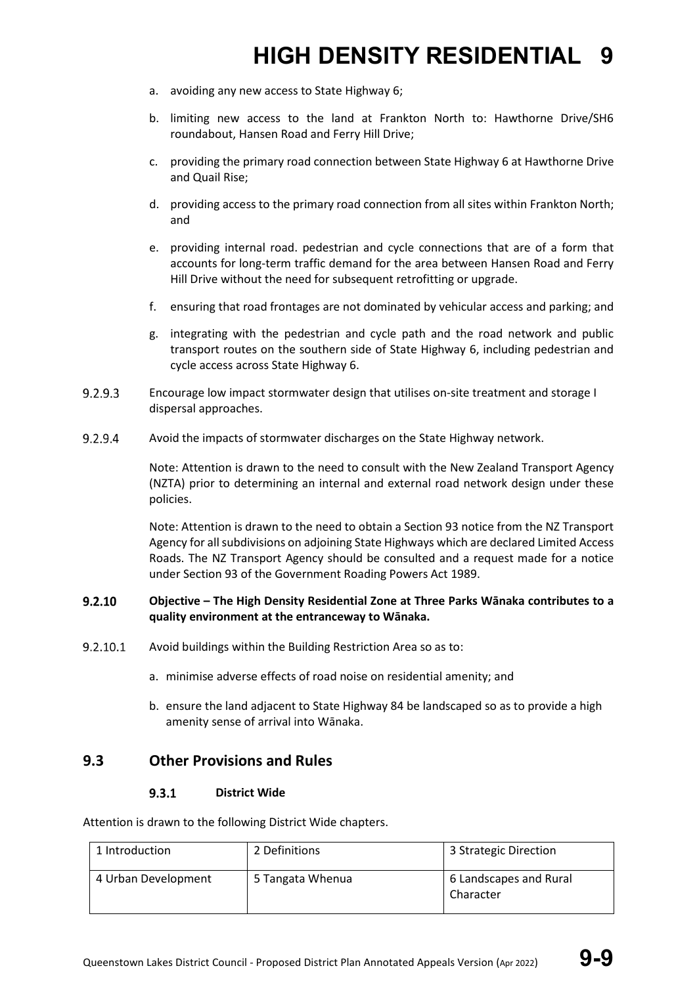- a. avoiding any new access to State Highway 6;
- b. limiting new access to the land at Frankton North to: Hawthorne Drive/SH6 roundabout, Hansen Road and Ferry Hill Drive;
- c. providing the primary road connection between State Highway 6 at Hawthorne Drive and Quail Rise;
- d. providing access to the primary road connection from all sites within Frankton North; and
- e. providing internal road. pedestrian and cycle connections that are of a form that accounts for long-term traffic demand for the area between Hansen Road and Ferry Hill Drive without the need for subsequent retrofitting or upgrade.
- f. ensuring that road frontages are not dominated by vehicular access and parking; and
- g. integrating with the pedestrian and cycle path and the road network and public transport routes on the southern side of State Highway 6, including pedestrian and cycle access across State Highway 6.
- $9.2.9.3$ Encourage low impact stormwater design that utilises on-site treatment and storage I dispersal approaches.
- 9.2.9.4 Avoid the impacts of stormwater discharges on the State Highway network.

Note: Attention is drawn to the need to consult with the New Zealand Transport Agency (NZTA) prior to determining an internal and external road network design under these policies.

Note: Attention is drawn to the need to obtain a Section 93 notice from the NZ Transport Agency for all subdivisions on adjoining State Highways which are declared Limited Access Roads. The NZ Transport Agency should be consulted and a request made for a notice under Section 93 of the Government Roading Powers Act 1989.

### $9.2.10$ **Objective – The High Density Residential Zone at Three Parks Wānaka contributes to a quality environment at the entranceway to Wānaka.**

- $9.2.10.1$ Avoid buildings within the Building Restriction Area so as to:
	- a. minimise adverse effects of road noise on residential amenity; and
	- b. ensure the land adjacent to State Highway 84 be landscaped so as to provide a high amenity sense of arrival into Wānaka.

### **9.3 Other Provisions and Rules**

#### $9.3.1$ **District Wide**

Attention is drawn to the following District Wide chapters.

| 1 Introduction      | 2 Definitions    | 3 Strategic Direction               |
|---------------------|------------------|-------------------------------------|
| 4 Urban Development | 5 Tangata Whenua | 6 Landscapes and Rural<br>Character |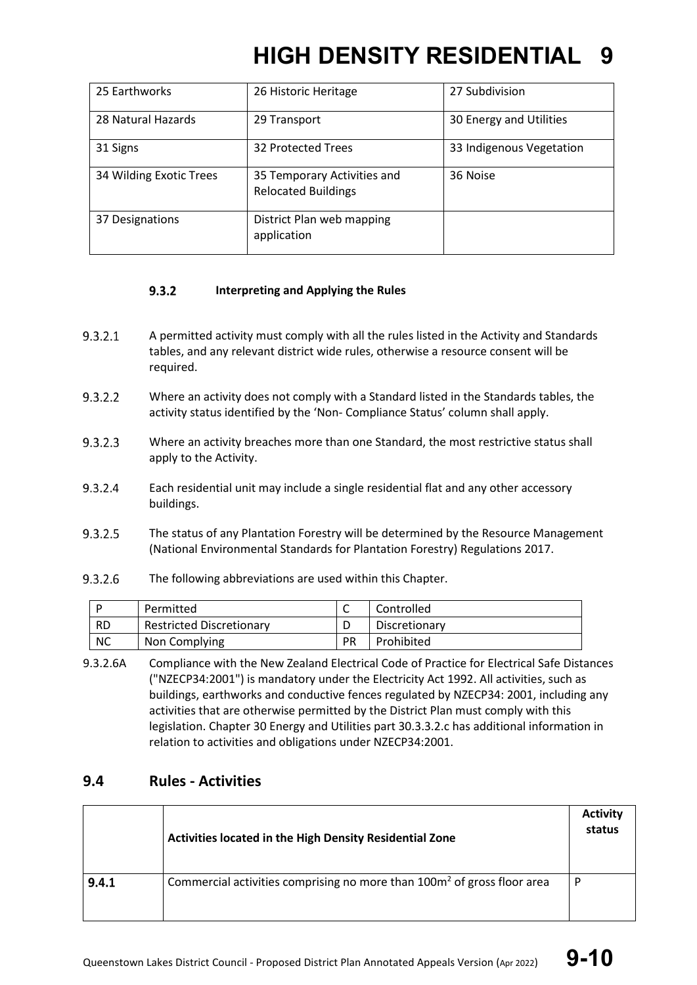| 25 Earthworks           | 26 Historic Heritage                                      | 27 Subdivision           |
|-------------------------|-----------------------------------------------------------|--------------------------|
| 28 Natural Hazards      | 29 Transport                                              | 30 Energy and Utilities  |
| 31 Signs                | 32 Protected Trees                                        | 33 Indigenous Vegetation |
| 34 Wilding Exotic Trees | 35 Temporary Activities and<br><b>Relocated Buildings</b> | 36 Noise                 |
| 37 Designations         | District Plan web mapping<br>application                  |                          |

#### $9.3.2$ **Interpreting and Applying the Rules**

- $9.3.2.1$ A permitted activity must comply with all the rules listed in the Activity and Standards tables, and any relevant district wide rules, otherwise a resource consent will be required.
- $9.3.2.2$ Where an activity does not comply with a Standard listed in the Standards tables, the activity status identified by the 'Non- Compliance Status' column shall apply.
- $9.3.2.3$ Where an activity breaches more than one Standard, the most restrictive status shall apply to the Activity.
- $9.3.2.4$ Each residential unit may include a single residential flat and any other accessory buildings.
- 9.3.2.5 The status of any Plantation Forestry will be determined by the Resource Management (National Environmental Standards for Plantation Forestry) Regulations 2017.
- $9.3.2.6$ The following abbreviations are used within this Chapter.

|           | Permitted                       |           | Controlled    |
|-----------|---------------------------------|-----------|---------------|
| <b>RD</b> | <b>Restricted Discretionary</b> |           | Discretionary |
| ΝC        | Non Complying                   | <b>PR</b> | Prohibited    |

9.3.2.6A Compliance with the New Zealand Electrical Code of Practice for Electrical Safe Distances ("NZECP34:2001") is mandatory under the Electricity Act 1992. All activities, such as buildings, earthworks and conductive fences regulated by NZECP34: 2001, including any activities that are otherwise permitted by the District Plan must comply with this legislation. Chapter 30 Energy and Utilities part 30.3.3.2.c has additional information in relation to activities and obligations under NZECP34:2001.

### **9.4 Rules - Activities**

|       | Activities located in the High Density Residential Zone                             | <b>Activity</b><br>status |
|-------|-------------------------------------------------------------------------------------|---------------------------|
| 9.4.1 | Commercial activities comprising no more than 100m <sup>2</sup> of gross floor area | P                         |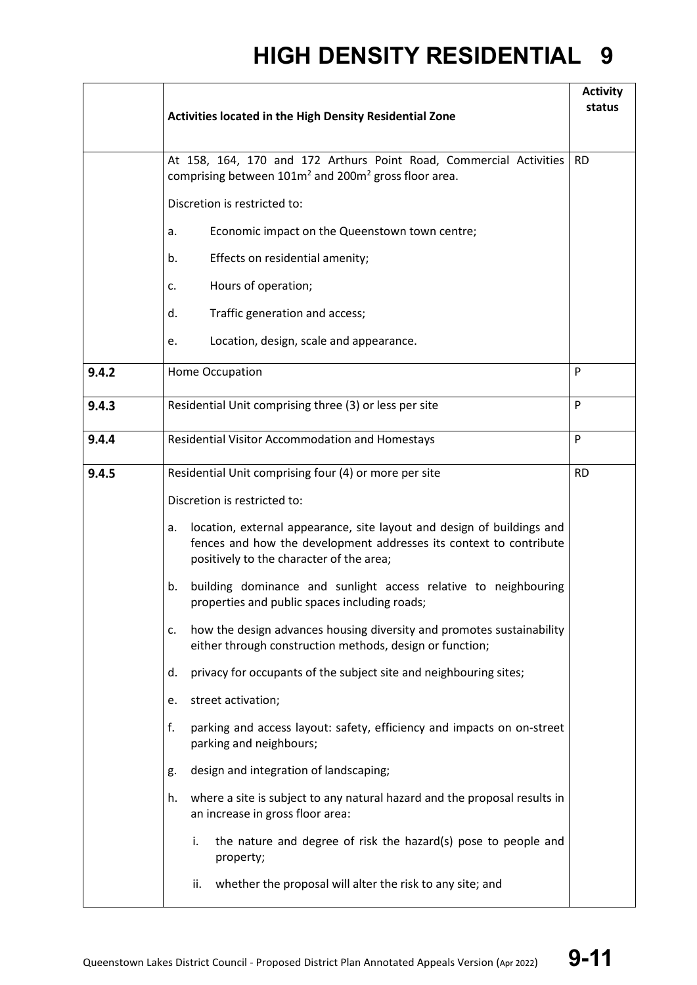|       | Activities located in the High Density Residential Zone                                                                                                                                        | <b>Activity</b><br>status |
|-------|------------------------------------------------------------------------------------------------------------------------------------------------------------------------------------------------|---------------------------|
|       | At 158, 164, 170 and 172 Arthurs Point Road, Commercial Activities<br>comprising between 101m <sup>2</sup> and 200m <sup>2</sup> gross floor area.                                             | <b>RD</b>                 |
|       | Discretion is restricted to:                                                                                                                                                                   |                           |
|       | Economic impact on the Queenstown town centre;<br>a.                                                                                                                                           |                           |
|       | Effects on residential amenity;<br>b.                                                                                                                                                          |                           |
|       | Hours of operation;<br>c.                                                                                                                                                                      |                           |
|       | Traffic generation and access;<br>d.                                                                                                                                                           |                           |
|       | Location, design, scale and appearance.<br>е.                                                                                                                                                  |                           |
| 9.4.2 | Home Occupation                                                                                                                                                                                | P                         |
| 9.4.3 | Residential Unit comprising three (3) or less per site                                                                                                                                         | P                         |
| 9.4.4 | Residential Visitor Accommodation and Homestays                                                                                                                                                | P                         |
| 9.4.5 |                                                                                                                                                                                                |                           |
|       | Residential Unit comprising four (4) or more per site<br>Discretion is restricted to:                                                                                                          | <b>RD</b>                 |
|       |                                                                                                                                                                                                |                           |
|       | location, external appearance, site layout and design of buildings and<br>a.<br>fences and how the development addresses its context to contribute<br>positively to the character of the area; |                           |
|       | building dominance and sunlight access relative to neighbouring<br>b.<br>properties and public spaces including roads;                                                                         |                           |
|       | how the design advances housing diversity and promotes sustainability<br>c.<br>either through construction methods, design or function;                                                        |                           |
|       | privacy for occupants of the subject site and neighbouring sites;<br>d.                                                                                                                        |                           |
|       | street activation;<br>e.                                                                                                                                                                       |                           |
|       | f.<br>parking and access layout: safety, efficiency and impacts on on-street<br>parking and neighbours;                                                                                        |                           |
|       | design and integration of landscaping;<br>g.                                                                                                                                                   |                           |
|       | where a site is subject to any natural hazard and the proposal results in<br>h.<br>an increase in gross floor area:                                                                            |                           |
|       | the nature and degree of risk the hazard(s) pose to people and<br>i.<br>property;                                                                                                              |                           |
|       | whether the proposal will alter the risk to any site; and<br>ii.                                                                                                                               |                           |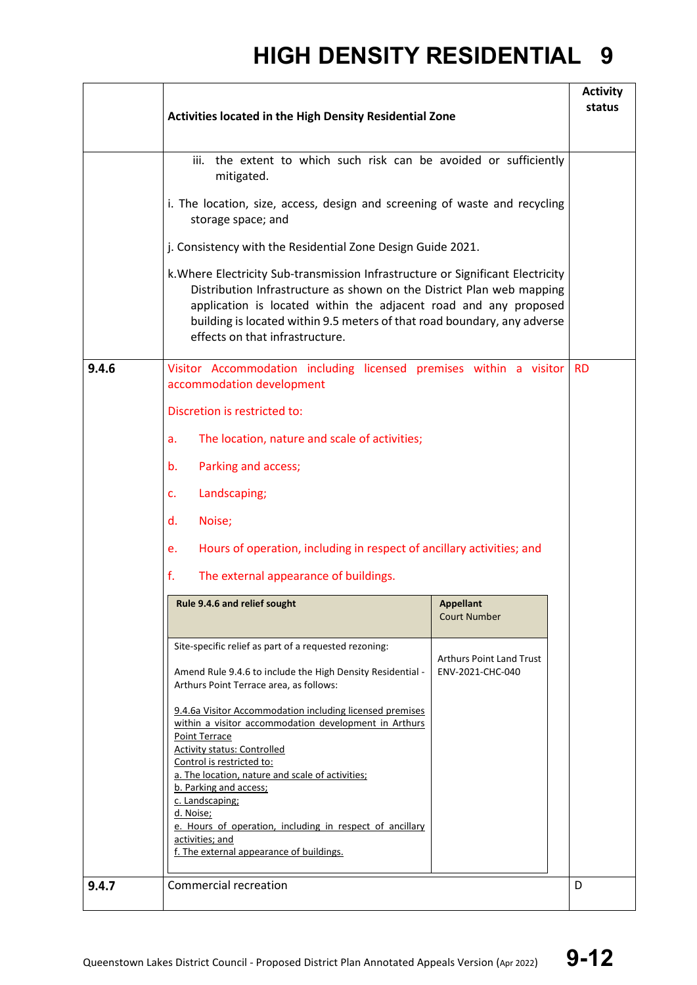|       | Activities located in the High Density Residential Zone                                                                                                                                                                                                                                                                                     |                                                     |           |  |  |
|-------|---------------------------------------------------------------------------------------------------------------------------------------------------------------------------------------------------------------------------------------------------------------------------------------------------------------------------------------------|-----------------------------------------------------|-----------|--|--|
|       | iii. the extent to which such risk can be avoided or sufficiently<br>mitigated.                                                                                                                                                                                                                                                             |                                                     |           |  |  |
|       | i. The location, size, access, design and screening of waste and recycling<br>storage space; and                                                                                                                                                                                                                                            |                                                     |           |  |  |
|       | j. Consistency with the Residential Zone Design Guide 2021.                                                                                                                                                                                                                                                                                 |                                                     |           |  |  |
|       | k. Where Electricity Sub-transmission Infrastructure or Significant Electricity<br>Distribution Infrastructure as shown on the District Plan web mapping<br>application is located within the adjacent road and any proposed<br>building is located within 9.5 meters of that road boundary, any adverse<br>effects on that infrastructure. |                                                     |           |  |  |
| 9.4.6 | Visitor Accommodation including licensed premises within a visitor<br>accommodation development                                                                                                                                                                                                                                             |                                                     | <b>RD</b> |  |  |
|       | Discretion is restricted to:                                                                                                                                                                                                                                                                                                                |                                                     |           |  |  |
|       | The location, nature and scale of activities;<br>a.                                                                                                                                                                                                                                                                                         |                                                     |           |  |  |
|       | Parking and access;<br>b.                                                                                                                                                                                                                                                                                                                   |                                                     |           |  |  |
|       | Landscaping;<br>c.                                                                                                                                                                                                                                                                                                                          |                                                     |           |  |  |
|       | Noise;<br>d.                                                                                                                                                                                                                                                                                                                                |                                                     |           |  |  |
|       | Hours of operation, including in respect of ancillary activities; and<br>e.                                                                                                                                                                                                                                                                 |                                                     |           |  |  |
|       | f.<br>The external appearance of buildings.                                                                                                                                                                                                                                                                                                 |                                                     |           |  |  |
|       | Rule 9.4.6 and relief sought                                                                                                                                                                                                                                                                                                                | <b>Appellant</b><br><b>Court Number</b>             |           |  |  |
|       | Site-specific relief as part of a requested rezoning:<br>Amend Rule 9.4.6 to include the High Density Residential -<br>Arthurs Point Terrace area, as follows:                                                                                                                                                                              | <b>Arthurs Point Land Trust</b><br>ENV-2021-CHC-040 |           |  |  |
|       | 9.4.6a Visitor Accommodation including licensed premises<br>within a visitor accommodation development in Arthurs<br>Point Terrace<br><b>Activity status: Controlled</b>                                                                                                                                                                    |                                                     |           |  |  |
|       | Control is restricted to:<br>a. The location, nature and scale of activities;<br>b. Parking and access;<br>c. Landscaping;<br>d. Noise;<br>e. Hours of operation, including in respect of ancillary<br>activities; and<br>f. The external appearance of buildings.                                                                          |                                                     |           |  |  |
| 9.4.7 | <b>Commercial recreation</b>                                                                                                                                                                                                                                                                                                                |                                                     | D         |  |  |
|       |                                                                                                                                                                                                                                                                                                                                             |                                                     |           |  |  |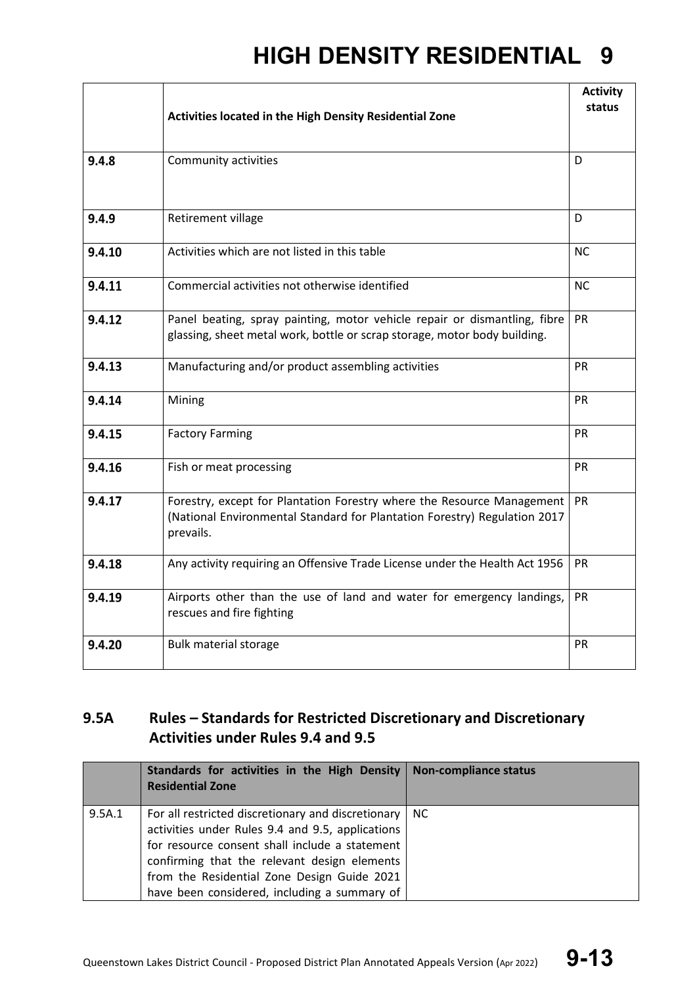|        | Activities located in the High Density Residential Zone                                                                                                          | <b>Activity</b><br>status |
|--------|------------------------------------------------------------------------------------------------------------------------------------------------------------------|---------------------------|
|        |                                                                                                                                                                  |                           |
| 9.4.8  | Community activities                                                                                                                                             | D                         |
| 9.4.9  | Retirement village                                                                                                                                               | D                         |
| 9.4.10 | Activities which are not listed in this table                                                                                                                    | <b>NC</b>                 |
| 9.4.11 | Commercial activities not otherwise identified                                                                                                                   | <b>NC</b>                 |
| 9.4.12 | Panel beating, spray painting, motor vehicle repair or dismantling, fibre<br>glassing, sheet metal work, bottle or scrap storage, motor body building.           | PR                        |
| 9.4.13 | Manufacturing and/or product assembling activities                                                                                                               | <b>PR</b>                 |
| 9.4.14 | Mining                                                                                                                                                           | <b>PR</b>                 |
| 9.4.15 | <b>Factory Farming</b>                                                                                                                                           | <b>PR</b>                 |
| 9.4.16 | Fish or meat processing                                                                                                                                          | <b>PR</b>                 |
| 9.4.17 | Forestry, except for Plantation Forestry where the Resource Management<br>(National Environmental Standard for Plantation Forestry) Regulation 2017<br>prevails. | <b>PR</b>                 |
| 9.4.18 | Any activity requiring an Offensive Trade License under the Health Act 1956                                                                                      | <b>PR</b>                 |
| 9.4.19 | Airports other than the use of land and water for emergency landings,<br>rescues and fire fighting                                                               | <b>PR</b>                 |
| 9.4.20 | <b>Bulk material storage</b>                                                                                                                                     | <b>PR</b>                 |

### **9.5A Rules – Standards for Restricted Discretionary and Discretionary Activities under Rules 9.4 and 9.5**

|        | Standards for activities in the High Density<br><b>Residential Zone</b>                                                                                                                                                                                                                                 | <b>Non-compliance status</b> |
|--------|---------------------------------------------------------------------------------------------------------------------------------------------------------------------------------------------------------------------------------------------------------------------------------------------------------|------------------------------|
| 9.5A.1 | For all restricted discretionary and discretionary<br>activities under Rules 9.4 and 9.5, applications<br>for resource consent shall include a statement<br>confirming that the relevant design elements<br>from the Residential Zone Design Guide 2021<br>have been considered, including a summary of | NC.                          |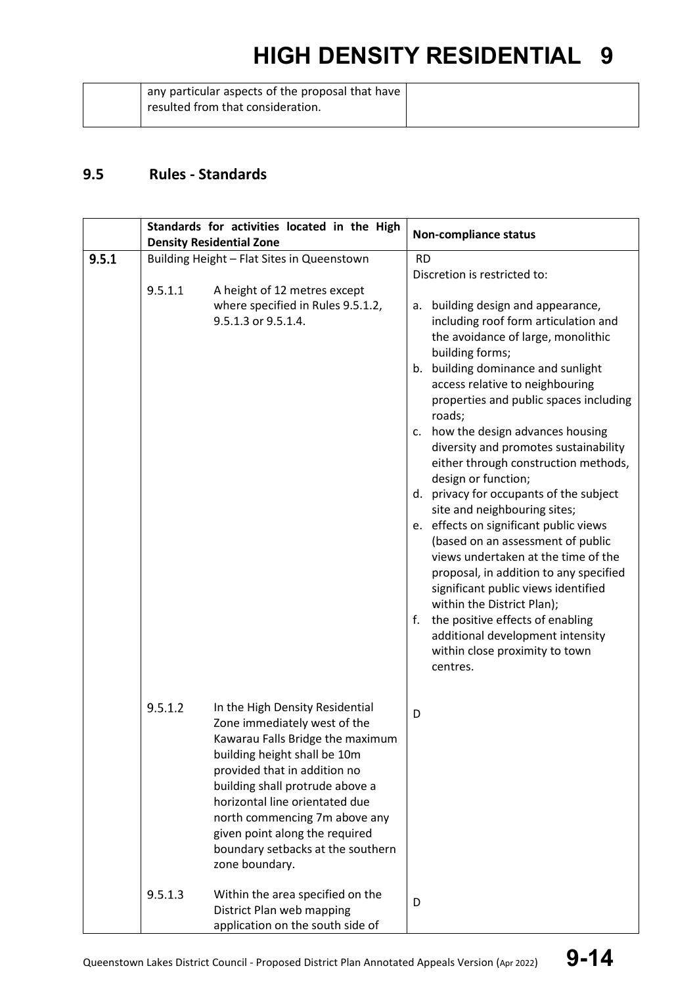### **9.5 Rules - Standards**

|       |                    | Standards for activities located in the High                                                                                                                                                                                                                                                                                                                                                                                                                            |           | <b>Non-compliance status</b>                                                                                                                                                                                                                                                                                                                                                                                                                                                                                                                                                                                                                                                                                                                                                                        |  |
|-------|--------------------|-------------------------------------------------------------------------------------------------------------------------------------------------------------------------------------------------------------------------------------------------------------------------------------------------------------------------------------------------------------------------------------------------------------------------------------------------------------------------|-----------|-----------------------------------------------------------------------------------------------------------------------------------------------------------------------------------------------------------------------------------------------------------------------------------------------------------------------------------------------------------------------------------------------------------------------------------------------------------------------------------------------------------------------------------------------------------------------------------------------------------------------------------------------------------------------------------------------------------------------------------------------------------------------------------------------------|--|
|       |                    | <b>Density Residential Zone</b>                                                                                                                                                                                                                                                                                                                                                                                                                                         |           |                                                                                                                                                                                                                                                                                                                                                                                                                                                                                                                                                                                                                                                                                                                                                                                                     |  |
| 9.5.1 |                    | Building Height - Flat Sites in Queenstown                                                                                                                                                                                                                                                                                                                                                                                                                              | <b>RD</b> | Discretion is restricted to:                                                                                                                                                                                                                                                                                                                                                                                                                                                                                                                                                                                                                                                                                                                                                                        |  |
|       | 9.5.1.1            | A height of 12 metres except<br>where specified in Rules 9.5.1.2,<br>9.5.1.3 or 9.5.1.4.                                                                                                                                                                                                                                                                                                                                                                                | а.<br>f.  | building design and appearance,<br>including roof form articulation and<br>the avoidance of large, monolithic<br>building forms;<br>b. building dominance and sunlight<br>access relative to neighbouring<br>properties and public spaces including<br>roads;<br>c. how the design advances housing<br>diversity and promotes sustainability<br>either through construction methods,<br>design or function;<br>d. privacy for occupants of the subject<br>site and neighbouring sites;<br>e. effects on significant public views<br>(based on an assessment of public<br>views undertaken at the time of the<br>proposal, in addition to any specified<br>significant public views identified<br>within the District Plan);<br>the positive effects of enabling<br>additional development intensity |  |
|       | 9.5.1.2<br>9.5.1.3 | In the High Density Residential<br>Zone immediately west of the<br>Kawarau Falls Bridge the maximum<br>building height shall be 10m<br>provided that in addition no<br>building shall protrude above a<br>horizontal line orientated due<br>north commencing 7m above any<br>given point along the required<br>boundary setbacks at the southern<br>zone boundary.<br>Within the area specified on the<br>District Plan web mapping<br>application on the south side of | D<br>D    | within close proximity to town<br>centres.                                                                                                                                                                                                                                                                                                                                                                                                                                                                                                                                                                                                                                                                                                                                                          |  |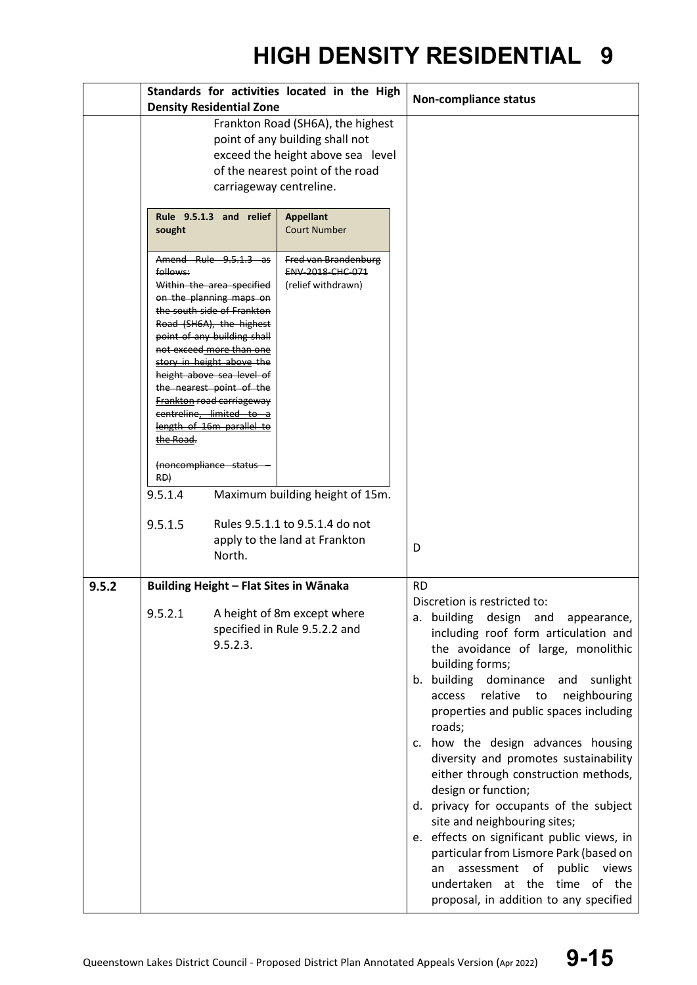|       | Standards for activities located in the High<br><b>Density Residential Zone</b>                                                                                          |                                                                                                                                                                                                                                                                                                                                                                                                                                    |                                                                                                                  |                                                                                                                                                                                                                                                                                                                                                                                                                                                                                                                                                                                                                                                                                                                                              | <b>Non-compliance status</b> |
|-------|--------------------------------------------------------------------------------------------------------------------------------------------------------------------------|------------------------------------------------------------------------------------------------------------------------------------------------------------------------------------------------------------------------------------------------------------------------------------------------------------------------------------------------------------------------------------------------------------------------------------|------------------------------------------------------------------------------------------------------------------|----------------------------------------------------------------------------------------------------------------------------------------------------------------------------------------------------------------------------------------------------------------------------------------------------------------------------------------------------------------------------------------------------------------------------------------------------------------------------------------------------------------------------------------------------------------------------------------------------------------------------------------------------------------------------------------------------------------------------------------------|------------------------------|
|       | Frankton Road (SH6A), the highest<br>point of any building shall not<br>exceed the height above sea level<br>of the nearest point of the road<br>carriageway centreline. |                                                                                                                                                                                                                                                                                                                                                                                                                                    |                                                                                                                  |                                                                                                                                                                                                                                                                                                                                                                                                                                                                                                                                                                                                                                                                                                                                              |                              |
|       | sought<br>follows:<br>the Road.<br>RD)                                                                                                                                   | Rule 9.5.1.3 and relief<br>Amend Rule 9.5.1.3 as<br>Within the area specified<br>on the planning maps on<br>the south side of Frankton<br>Road (SH6A), the highest<br>point of any building shall<br>not exceed more than one<br>story in height above the<br>height above sea level of<br>the nearest point of the<br>Frankton road carriageway<br>centreline, limited to a<br>length of 16m parallel to<br>(noncompliance status | <b>Appellant</b><br><b>Court Number</b><br>Fred van Brandenburg<br><b>ENV 2018 CHC 071</b><br>(relief withdrawn) |                                                                                                                                                                                                                                                                                                                                                                                                                                                                                                                                                                                                                                                                                                                                              |                              |
|       | 9.5.1.4<br>9.5.1.5                                                                                                                                                       | North.                                                                                                                                                                                                                                                                                                                                                                                                                             | Maximum building height of 15m.<br>Rules 9.5.1.1 to 9.5.1.4 do not<br>apply to the land at Frankton              | D                                                                                                                                                                                                                                                                                                                                                                                                                                                                                                                                                                                                                                                                                                                                            |                              |
| 9.5.2 | Building Height - Flat Sites in Wānaka<br>9.5.2.1<br>A height of 8m except where<br>specified in Rule 9.5.2.2 and<br>9.5.2.3.                                            |                                                                                                                                                                                                                                                                                                                                                                                                                                    | <b>RD</b>                                                                                                        | Discretion is restricted to:<br>a. building design and appearance,<br>including roof form articulation and<br>the avoidance of large, monolithic<br>building forms;<br>b. building dominance<br>and sunlight<br>relative to<br>neighbouring<br>access<br>properties and public spaces including<br>roads;<br>c. how the design advances housing<br>diversity and promotes sustainability<br>either through construction methods,<br>design or function;<br>d. privacy for occupants of the subject<br>site and neighbouring sites;<br>e. effects on significant public views, in<br>particular from Lismore Park (based on<br>of public views<br>assessment<br>an<br>undertaken at the time of the<br>proposal, in addition to any specified |                              |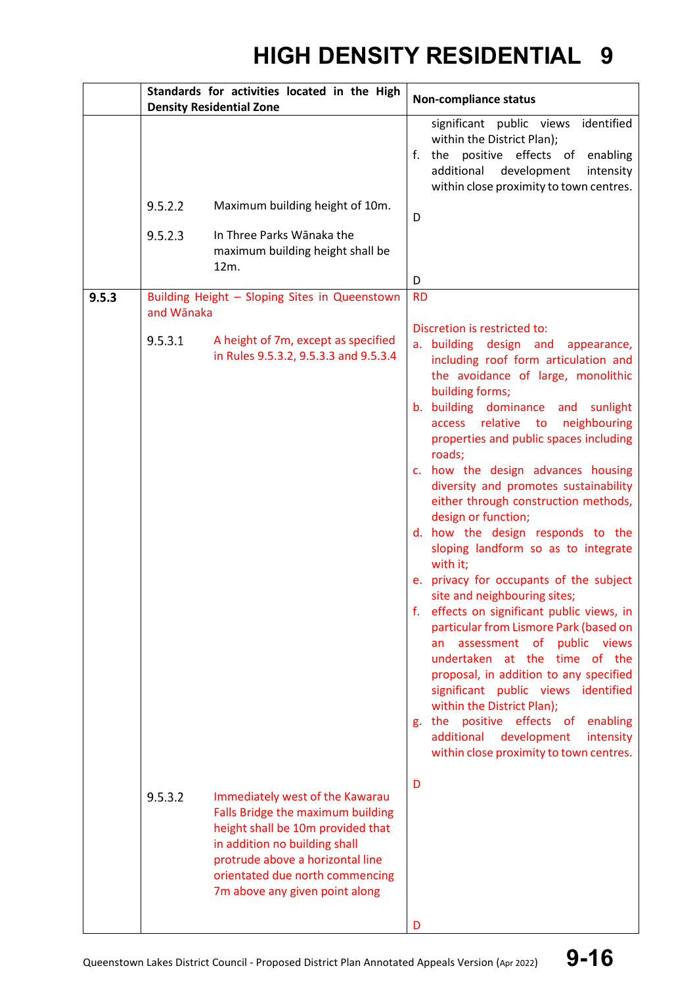|       |            | Standards for activities located in the High<br><b>Density Residential Zone</b>                                                                                                                                                                     | <b>Non-compliance status</b>                                                                                                                                                                                                                                                                                                                                                                                                                                                                                                                                                                                                                                                                                                                                                                                                                                                                                                                                                                                                       |  |  |
|-------|------------|-----------------------------------------------------------------------------------------------------------------------------------------------------------------------------------------------------------------------------------------------------|------------------------------------------------------------------------------------------------------------------------------------------------------------------------------------------------------------------------------------------------------------------------------------------------------------------------------------------------------------------------------------------------------------------------------------------------------------------------------------------------------------------------------------------------------------------------------------------------------------------------------------------------------------------------------------------------------------------------------------------------------------------------------------------------------------------------------------------------------------------------------------------------------------------------------------------------------------------------------------------------------------------------------------|--|--|
|       |            |                                                                                                                                                                                                                                                     | significant public views identified<br>within the District Plan);<br>the positive effects of enabling<br>f.<br>additional<br>development<br>intensity<br>within close proximity to town centres.                                                                                                                                                                                                                                                                                                                                                                                                                                                                                                                                                                                                                                                                                                                                                                                                                                   |  |  |
|       | 9.5.2.2    | Maximum building height of 10m.                                                                                                                                                                                                                     | D                                                                                                                                                                                                                                                                                                                                                                                                                                                                                                                                                                                                                                                                                                                                                                                                                                                                                                                                                                                                                                  |  |  |
|       | 9.5.2.3    | In Three Parks Wānaka the<br>maximum building height shall be<br>12m.                                                                                                                                                                               | D                                                                                                                                                                                                                                                                                                                                                                                                                                                                                                                                                                                                                                                                                                                                                                                                                                                                                                                                                                                                                                  |  |  |
| 9.5.3 | and Wānaka | Building Height - Sloping Sites in Queenstown                                                                                                                                                                                                       | <b>RD</b>                                                                                                                                                                                                                                                                                                                                                                                                                                                                                                                                                                                                                                                                                                                                                                                                                                                                                                                                                                                                                          |  |  |
|       | 9.5.3.1    | A height of 7m, except as specified<br>in Rules 9.5.3.2, 9.5.3.3 and 9.5.3.4                                                                                                                                                                        | Discretion is restricted to:<br>a. building design and appearance,<br>including roof form articulation and<br>the avoidance of large, monolithic<br>building forms;<br>b. building dominance and sunlight<br>access relative to neighbouring<br>properties and public spaces including<br>roads;<br>c. how the design advances housing<br>diversity and promotes sustainability<br>either through construction methods,<br>design or function;<br>d. how the design responds to the<br>sloping landform so as to integrate<br>with it;<br>privacy for occupants of the subject<br>e.<br>site and neighbouring sites;<br>f. effects on significant public views, in<br>particular from Lismore Park (based on<br>an assessment of<br>public views<br>undertaken at the time of the<br>proposal, in addition to any specified<br>significant public views identified<br>within the District Plan);<br>the positive effects of<br>enabling<br>g.<br>additional<br>development<br>intensity<br>within close proximity to town centres. |  |  |
|       | 9.5.3.2    | Immediately west of the Kawarau<br>Falls Bridge the maximum building<br>height shall be 10m provided that<br>in addition no building shall<br>protrude above a horizontal line<br>orientated due north commencing<br>7m above any given point along | D                                                                                                                                                                                                                                                                                                                                                                                                                                                                                                                                                                                                                                                                                                                                                                                                                                                                                                                                                                                                                                  |  |  |
|       |            |                                                                                                                                                                                                                                                     | D                                                                                                                                                                                                                                                                                                                                                                                                                                                                                                                                                                                                                                                                                                                                                                                                                                                                                                                                                                                                                                  |  |  |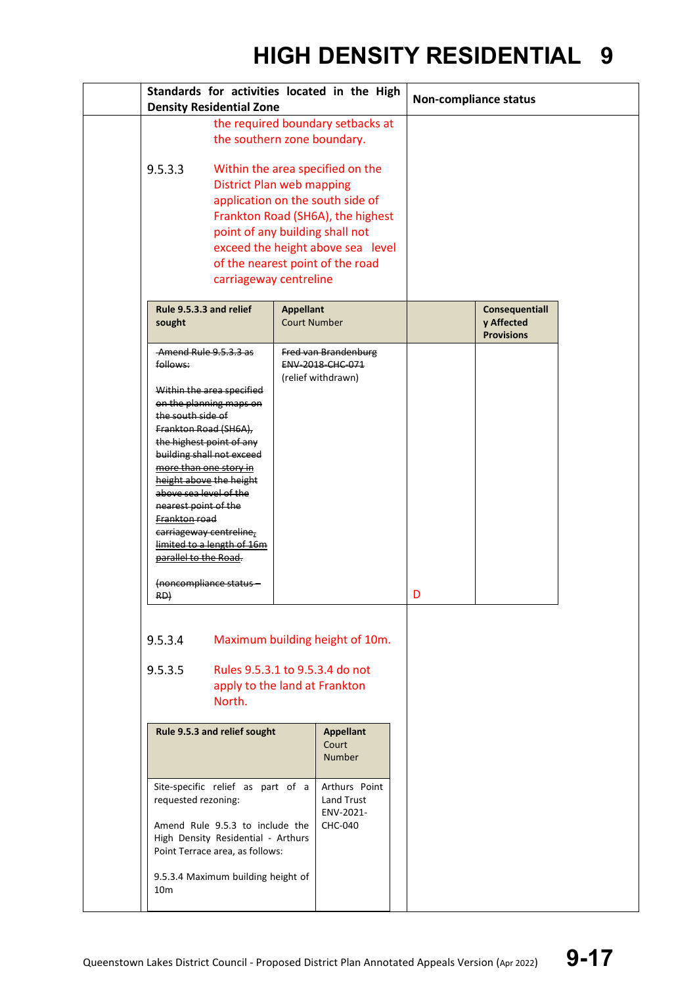| Standards for activities located in the High<br><b>Density Residential Zone</b>                                                                                                                                                                                                                                                                                                                                                                                              |                                                                                                                                                                              |  | <b>Non-compliance status</b> |                                                          |
|------------------------------------------------------------------------------------------------------------------------------------------------------------------------------------------------------------------------------------------------------------------------------------------------------------------------------------------------------------------------------------------------------------------------------------------------------------------------------|------------------------------------------------------------------------------------------------------------------------------------------------------------------------------|--|------------------------------|----------------------------------------------------------|
|                                                                                                                                                                                                                                                                                                                                                                                                                                                                              | the required boundary setbacks at<br>the southern zone boundary.                                                                                                             |  |                              |                                                          |
| 9.5.3.3<br>Within the area specified on the<br><b>District Plan web mapping</b><br>application on the south side of<br>Frankton Road (SH6A), the highest<br>point of any building shall not<br>exceed the height above sea level<br>of the nearest point of the road<br>carriageway centreline                                                                                                                                                                               |                                                                                                                                                                              |  |                              |                                                          |
| Rule 9.5.3.3 and relief<br>sought                                                                                                                                                                                                                                                                                                                                                                                                                                            | <b>Appellant</b><br><b>Court Number</b>                                                                                                                                      |  |                              | <b>Consequentiall</b><br>y Affected<br><b>Provisions</b> |
| Amend Rule 9.5.3.3 as<br>follows:<br>Within the area specified<br>on the planning maps on<br>the south side of<br>Frankton Road (SH6A),<br>the highest point of any<br>building shall not exceed<br>more than one story in<br>height above the height<br>above sea level of the<br>nearest point of the<br>Frankton road<br>carriageway centreline,<br>limited to a length of 16m<br>parallel to the Road.<br>(noncompliance status -<br>RD)<br>9.5.3.4<br>9.5.3.5<br>North. | Fred van Brandenburg<br><b>ENV 2018 CHC 071</b><br>(relief withdrawn)<br>Maximum building height of 10m.<br>Rules 9.5.3.1 to 9.5.3.4 do not<br>apply to the land at Frankton |  | D                            |                                                          |
| Rule 9.5.3 and relief sought                                                                                                                                                                                                                                                                                                                                                                                                                                                 | <b>Appellant</b><br>Court<br><b>Number</b>                                                                                                                                   |  |                              |                                                          |
| Site-specific relief as part of a<br>requested rezoning:<br>Amend Rule 9.5.3 to include the<br>High Density Residential - Arthurs<br>Point Terrace area, as follows:<br>9.5.3.4 Maximum building height of<br>10 <sub>m</sub>                                                                                                                                                                                                                                                | Arthurs Point<br>Land Trust<br>ENV-2021-<br><b>CHC-040</b>                                                                                                                   |  |                              |                                                          |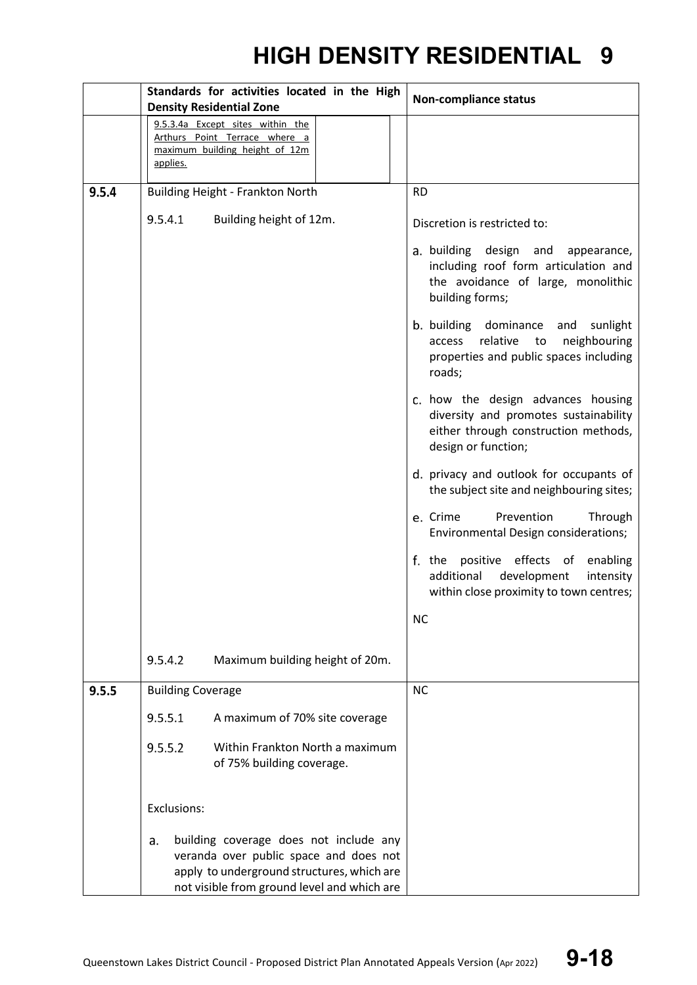|       | Standards for activities located in the High<br><b>Density Residential Zone</b> |                                                                                                                                                                               | <b>Non-compliance status</b> |                                                                                                                                            |
|-------|---------------------------------------------------------------------------------|-------------------------------------------------------------------------------------------------------------------------------------------------------------------------------|------------------------------|--------------------------------------------------------------------------------------------------------------------------------------------|
|       | applies.                                                                        | 9.5.3.4a Except sites within the<br>Arthurs Point Terrace where a<br>maximum building height of 12m                                                                           |                              |                                                                                                                                            |
| 9.5.4 |                                                                                 | Building Height - Frankton North                                                                                                                                              |                              | <b>RD</b>                                                                                                                                  |
|       | 9.5.4.1                                                                         | Building height of 12m.                                                                                                                                                       |                              | Discretion is restricted to:                                                                                                               |
|       |                                                                                 |                                                                                                                                                                               |                              | a. building design and appearance,<br>including roof form articulation and<br>the avoidance of large, monolithic<br>building forms;        |
|       |                                                                                 |                                                                                                                                                                               |                              | b. building dominance and sunlight<br>relative<br>to<br>neighbouring<br>access<br>properties and public spaces including<br>roads;         |
|       |                                                                                 |                                                                                                                                                                               |                              | c. how the design advances housing<br>diversity and promotes sustainability<br>either through construction methods,<br>design or function; |
|       |                                                                                 |                                                                                                                                                                               |                              | d. privacy and outlook for occupants of<br>the subject site and neighbouring sites;                                                        |
|       |                                                                                 |                                                                                                                                                                               |                              | e. Crime<br>Prevention<br>Through<br>Environmental Design considerations;                                                                  |
|       |                                                                                 |                                                                                                                                                                               |                              | f. the positive effects of enabling<br>additional<br>development<br>intensity<br>within close proximity to town centres;                   |
|       |                                                                                 |                                                                                                                                                                               |                              | <b>NC</b>                                                                                                                                  |
|       | 9.5.4.2                                                                         | Maximum building height of 20m.                                                                                                                                               |                              |                                                                                                                                            |
| 9.5.5 | <b>Building Coverage</b>                                                        |                                                                                                                                                                               |                              | <b>NC</b>                                                                                                                                  |
|       | 9.5.5.1                                                                         | A maximum of 70% site coverage                                                                                                                                                |                              |                                                                                                                                            |
|       | 9.5.5.2                                                                         | Within Frankton North a maximum<br>of 75% building coverage.                                                                                                                  |                              |                                                                                                                                            |
|       | Exclusions:                                                                     |                                                                                                                                                                               |                              |                                                                                                                                            |
|       | a.                                                                              | building coverage does not include any<br>veranda over public space and does not<br>apply to underground structures, which are<br>not visible from ground level and which are |                              |                                                                                                                                            |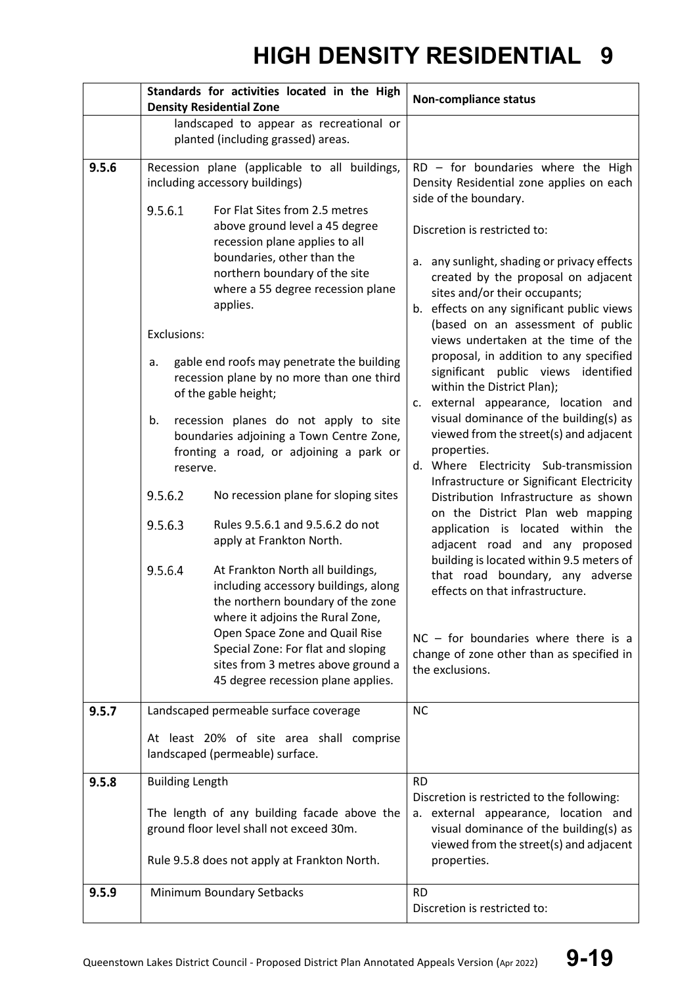|       | Standards for activities located in the High<br><b>Density Residential Zone</b>                                                                                                                                                                                                                                                                                                                                                                                                                                                                                                                                                                                                                                                                                                                                                                                                                                                                                                                                                                              | <b>Non-compliance status</b>                                                                                                                                                                                                                                                                                                                                                                                                                                                                                                                                                                                                                                                                                                                                                                                                                                                                                                                                                                                                                                                                                              |
|-------|--------------------------------------------------------------------------------------------------------------------------------------------------------------------------------------------------------------------------------------------------------------------------------------------------------------------------------------------------------------------------------------------------------------------------------------------------------------------------------------------------------------------------------------------------------------------------------------------------------------------------------------------------------------------------------------------------------------------------------------------------------------------------------------------------------------------------------------------------------------------------------------------------------------------------------------------------------------------------------------------------------------------------------------------------------------|---------------------------------------------------------------------------------------------------------------------------------------------------------------------------------------------------------------------------------------------------------------------------------------------------------------------------------------------------------------------------------------------------------------------------------------------------------------------------------------------------------------------------------------------------------------------------------------------------------------------------------------------------------------------------------------------------------------------------------------------------------------------------------------------------------------------------------------------------------------------------------------------------------------------------------------------------------------------------------------------------------------------------------------------------------------------------------------------------------------------------|
|       | landscaped to appear as recreational or<br>planted (including grassed) areas.                                                                                                                                                                                                                                                                                                                                                                                                                                                                                                                                                                                                                                                                                                                                                                                                                                                                                                                                                                                |                                                                                                                                                                                                                                                                                                                                                                                                                                                                                                                                                                                                                                                                                                                                                                                                                                                                                                                                                                                                                                                                                                                           |
| 9.5.6 | Recession plane (applicable to all buildings,<br>including accessory buildings)<br>9.5.6.1<br>For Flat Sites from 2.5 metres<br>above ground level a 45 degree<br>recession plane applies to all<br>boundaries, other than the<br>northern boundary of the site<br>where a 55 degree recession plane<br>applies.<br>Exclusions:<br>gable end roofs may penetrate the building<br>a.<br>recession plane by no more than one third<br>of the gable height;<br>recession planes do not apply to site<br>b.<br>boundaries adjoining a Town Centre Zone,<br>fronting a road, or adjoining a park or<br>reserve.<br>9.5.6.2<br>No recession plane for sloping sites<br>9.5.6.3<br>Rules 9.5.6.1 and 9.5.6.2 do not<br>apply at Frankton North.<br>9.5.6.4<br>At Frankton North all buildings,<br>including accessory buildings, along<br>the northern boundary of the zone<br>where it adjoins the Rural Zone,<br>Open Space Zone and Quail Rise<br>Special Zone: For flat and sloping<br>sites from 3 metres above ground a<br>45 degree recession plane applies. | $RD - for boundaries where the High$<br>Density Residential zone applies on each<br>side of the boundary.<br>Discretion is restricted to:<br>a. any sunlight, shading or privacy effects<br>created by the proposal on adjacent<br>sites and/or their occupants;<br>b. effects on any significant public views<br>(based on an assessment of public<br>views undertaken at the time of the<br>proposal, in addition to any specified<br>significant public views identified<br>within the District Plan);<br>c. external appearance, location and<br>visual dominance of the building(s) as<br>viewed from the street(s) and adjacent<br>properties.<br>d. Where Electricity Sub-transmission<br>Infrastructure or Significant Electricity<br>Distribution Infrastructure as shown<br>on the District Plan web mapping<br>application is located within the<br>adjacent road and any proposed<br>building is located within 9.5 meters of<br>that road boundary, any adverse<br>effects on that infrastructure.<br>$NC - for boundaries where there is a$<br>change of zone other than as specified in<br>the exclusions. |
| 9.5.7 | Landscaped permeable surface coverage<br>At least 20% of site area shall comprise                                                                                                                                                                                                                                                                                                                                                                                                                                                                                                                                                                                                                                                                                                                                                                                                                                                                                                                                                                            | <b>NC</b>                                                                                                                                                                                                                                                                                                                                                                                                                                                                                                                                                                                                                                                                                                                                                                                                                                                                                                                                                                                                                                                                                                                 |
| 9.5.8 | landscaped (permeable) surface.<br><b>Building Length</b>                                                                                                                                                                                                                                                                                                                                                                                                                                                                                                                                                                                                                                                                                                                                                                                                                                                                                                                                                                                                    | <b>RD</b>                                                                                                                                                                                                                                                                                                                                                                                                                                                                                                                                                                                                                                                                                                                                                                                                                                                                                                                                                                                                                                                                                                                 |
|       | The length of any building facade above the<br>ground floor level shall not exceed 30m.<br>Rule 9.5.8 does not apply at Frankton North.                                                                                                                                                                                                                                                                                                                                                                                                                                                                                                                                                                                                                                                                                                                                                                                                                                                                                                                      | Discretion is restricted to the following:<br>a. external appearance, location and<br>visual dominance of the building(s) as<br>viewed from the street(s) and adjacent<br>properties.                                                                                                                                                                                                                                                                                                                                                                                                                                                                                                                                                                                                                                                                                                                                                                                                                                                                                                                                     |
| 9.5.9 | Minimum Boundary Setbacks                                                                                                                                                                                                                                                                                                                                                                                                                                                                                                                                                                                                                                                                                                                                                                                                                                                                                                                                                                                                                                    | <b>RD</b><br>Discretion is restricted to:                                                                                                                                                                                                                                                                                                                                                                                                                                                                                                                                                                                                                                                                                                                                                                                                                                                                                                                                                                                                                                                                                 |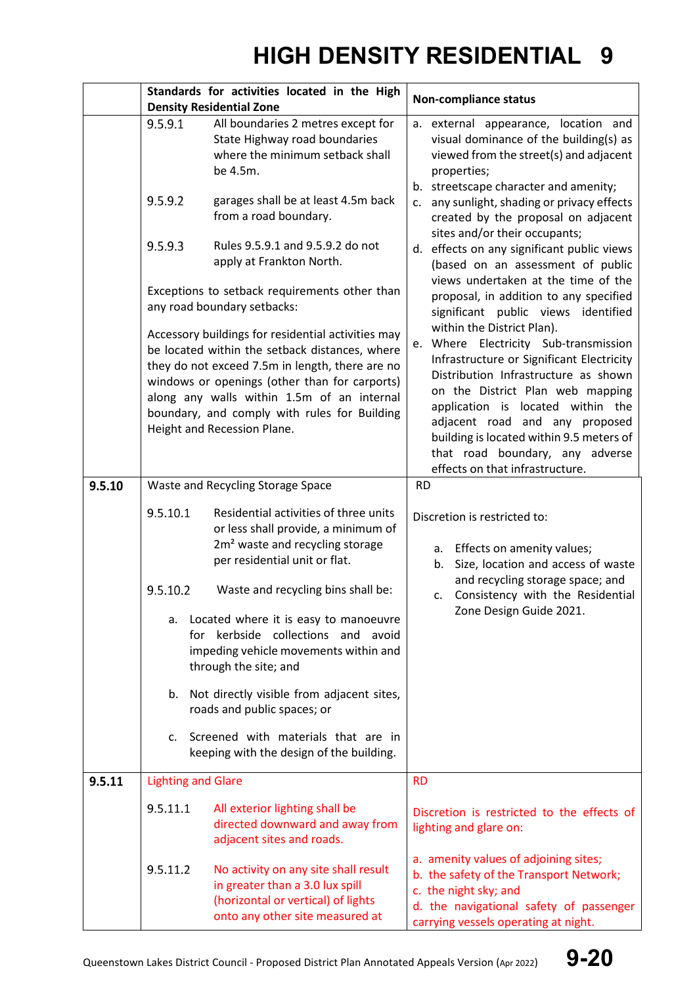|        | Standards for activities located in the High<br><b>Density Residential Zone</b> |                                                                                                                                                                                                                                                                                                                                                                                                                                                                                                                                                                                                                                                                             | <b>Non-compliance status</b>                                                                                                                                                                                                                                                                                                                                                                                                                                                                                                                                                                                                                                                                                                                                                                                                                                                   |  |
|--------|---------------------------------------------------------------------------------|-----------------------------------------------------------------------------------------------------------------------------------------------------------------------------------------------------------------------------------------------------------------------------------------------------------------------------------------------------------------------------------------------------------------------------------------------------------------------------------------------------------------------------------------------------------------------------------------------------------------------------------------------------------------------------|--------------------------------------------------------------------------------------------------------------------------------------------------------------------------------------------------------------------------------------------------------------------------------------------------------------------------------------------------------------------------------------------------------------------------------------------------------------------------------------------------------------------------------------------------------------------------------------------------------------------------------------------------------------------------------------------------------------------------------------------------------------------------------------------------------------------------------------------------------------------------------|--|
|        | 9.5.9.1<br>9.5.9.2<br>9.5.9.3                                                   | All boundaries 2 metres except for<br>State Highway road boundaries<br>where the minimum setback shall<br>be 4.5m.<br>garages shall be at least 4.5m back<br>from a road boundary.<br>Rules 9.5.9.1 and 9.5.9.2 do not<br>apply at Frankton North.<br>Exceptions to setback requirements other than<br>any road boundary setbacks:<br>Accessory buildings for residential activities may<br>be located within the setback distances, where<br>they do not exceed 7.5m in length, there are no<br>windows or openings (other than for carports)<br>along any walls within 1.5m of an internal<br>boundary, and comply with rules for Building<br>Height and Recession Plane. | a. external appearance, location and<br>visual dominance of the building(s) as<br>viewed from the street(s) and adjacent<br>properties;<br>b. streetscape character and amenity;<br>any sunlight, shading or privacy effects<br>c.<br>created by the proposal on adjacent<br>sites and/or their occupants;<br>d. effects on any significant public views<br>(based on an assessment of public<br>views undertaken at the time of the<br>proposal, in addition to any specified<br>significant public views identified<br>within the District Plan).<br>Where Electricity Sub-transmission<br>e.<br>Infrastructure or Significant Electricity<br>Distribution Infrastructure as shown<br>on the District Plan web mapping<br>application is located within the<br>adjacent road and any proposed<br>building is located within 9.5 meters of<br>that road boundary, any adverse |  |
| 9.5.10 |                                                                                 | Waste and Recycling Storage Space                                                                                                                                                                                                                                                                                                                                                                                                                                                                                                                                                                                                                                           | effects on that infrastructure.<br><b>RD</b>                                                                                                                                                                                                                                                                                                                                                                                                                                                                                                                                                                                                                                                                                                                                                                                                                                   |  |
|        | 9.5.10.1<br>9.5.10.2<br>a.<br>b.<br>c.                                          | Residential activities of three units<br>or less shall provide, a minimum of<br>2m <sup>2</sup> waste and recycling storage<br>per residential unit or flat.<br>Waste and recycling bins shall be:<br>Located where it is easy to manoeuvre<br>for kerbside collections and avoid<br>impeding vehicle movements within and<br>through the site; and<br>Not directly visible from adjacent sites,<br>roads and public spaces; or<br>Screened with materials that are in<br>keeping with the design of the building.                                                                                                                                                          | Discretion is restricted to:<br>Effects on amenity values;<br>а.<br>Size, location and access of waste<br>b.<br>and recycling storage space; and<br>c. Consistency with the Residential<br>Zone Design Guide 2021.                                                                                                                                                                                                                                                                                                                                                                                                                                                                                                                                                                                                                                                             |  |
| 9.5.11 | <b>Lighting and Glare</b>                                                       |                                                                                                                                                                                                                                                                                                                                                                                                                                                                                                                                                                                                                                                                             | <b>RD</b>                                                                                                                                                                                                                                                                                                                                                                                                                                                                                                                                                                                                                                                                                                                                                                                                                                                                      |  |
|        | 9.5.11.1<br>9.5.11.2                                                            | All exterior lighting shall be<br>directed downward and away from<br>adjacent sites and roads.<br>No activity on any site shall result<br>in greater than a 3.0 lux spill<br>(horizontal or vertical) of lights                                                                                                                                                                                                                                                                                                                                                                                                                                                             | Discretion is restricted to the effects of<br>lighting and glare on:<br>a. amenity values of adjoining sites;<br>b. the safety of the Transport Network;<br>c. the night sky; and<br>d. the navigational safety of passenger                                                                                                                                                                                                                                                                                                                                                                                                                                                                                                                                                                                                                                                   |  |
|        |                                                                                 | onto any other site measured at                                                                                                                                                                                                                                                                                                                                                                                                                                                                                                                                                                                                                                             | carrying vessels operating at night.                                                                                                                                                                                                                                                                                                                                                                                                                                                                                                                                                                                                                                                                                                                                                                                                                                           |  |

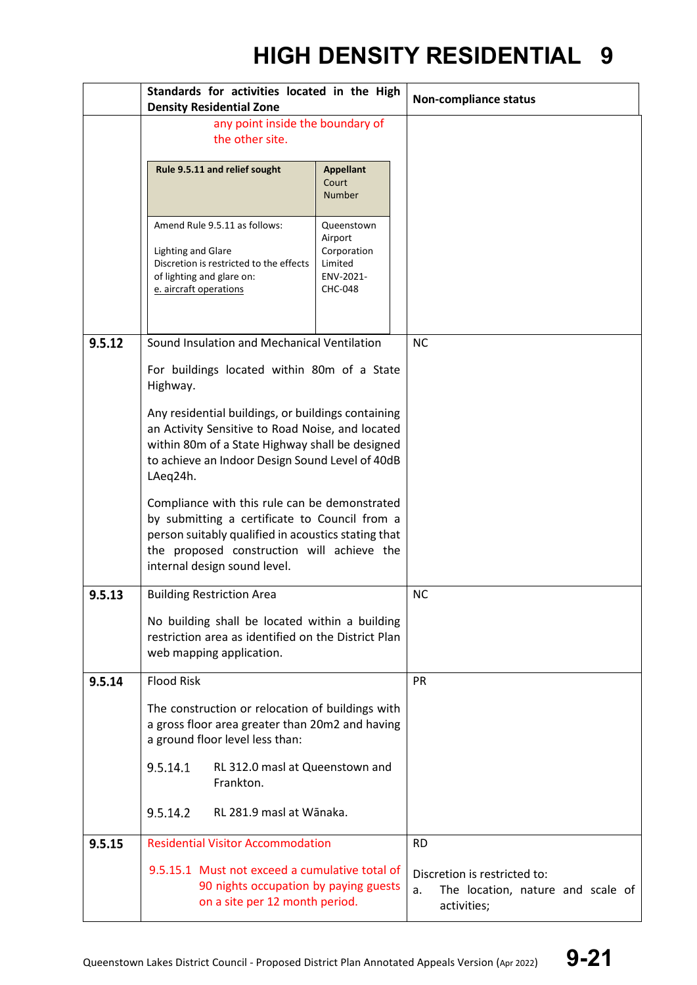|        | Standards for activities located in the High                                                                                                                                                                                        |                                                                                | <b>Non-compliance status</b>                                                           |  |
|--------|-------------------------------------------------------------------------------------------------------------------------------------------------------------------------------------------------------------------------------------|--------------------------------------------------------------------------------|----------------------------------------------------------------------------------------|--|
|        | <b>Density Residential Zone</b>                                                                                                                                                                                                     |                                                                                |                                                                                        |  |
|        | any point inside the boundary of<br>the other site.                                                                                                                                                                                 |                                                                                |                                                                                        |  |
|        | Rule 9.5.11 and relief sought                                                                                                                                                                                                       | <b>Appellant</b><br>Court<br><b>Number</b>                                     |                                                                                        |  |
|        | Amend Rule 9.5.11 as follows:<br><b>Lighting and Glare</b><br>Discretion is restricted to the effects<br>of lighting and glare on:<br>e. aircraft operations                                                                        | Queenstown<br>Airport<br>Corporation<br>Limited<br>ENV-2021-<br><b>CHC-048</b> |                                                                                        |  |
| 9.5.12 | Sound Insulation and Mechanical Ventilation                                                                                                                                                                                         |                                                                                | <b>NC</b>                                                                              |  |
|        | For buildings located within 80m of a State<br>Highway.                                                                                                                                                                             |                                                                                |                                                                                        |  |
|        | Any residential buildings, or buildings containing<br>an Activity Sensitive to Road Noise, and located<br>within 80m of a State Highway shall be designed<br>to achieve an Indoor Design Sound Level of 40dB<br>LAeq24h.            |                                                                                |                                                                                        |  |
|        | Compliance with this rule can be demonstrated<br>by submitting a certificate to Council from a<br>person suitably qualified in acoustics stating that<br>the proposed construction will achieve the<br>internal design sound level. |                                                                                |                                                                                        |  |
| 9.5.13 | <b>Building Restriction Area</b>                                                                                                                                                                                                    |                                                                                | <b>NC</b>                                                                              |  |
|        | No building shall be located within a building<br>restriction area as identified on the District Plan<br>web mapping application.                                                                                                   |                                                                                |                                                                                        |  |
| 9.5.14 | <b>Flood Risk</b>                                                                                                                                                                                                                   |                                                                                | <b>PR</b>                                                                              |  |
|        | The construction or relocation of buildings with<br>a gross floor area greater than 20m2 and having<br>a ground floor level less than:                                                                                              |                                                                                |                                                                                        |  |
|        | 9.5.14.1<br>RL 312.0 masl at Queenstown and<br>Frankton.                                                                                                                                                                            |                                                                                |                                                                                        |  |
|        | 9.5.14.2<br>RL 281.9 masl at Wānaka.                                                                                                                                                                                                |                                                                                |                                                                                        |  |
| 9.5.15 | <b>Residential Visitor Accommodation</b>                                                                                                                                                                                            |                                                                                | <b>RD</b>                                                                              |  |
|        | 9.5.15.1 Must not exceed a cumulative total of<br>90 nights occupation by paying guests<br>on a site per 12 month period.                                                                                                           |                                                                                | Discretion is restricted to:<br>The location, nature and scale of<br>a.<br>activities; |  |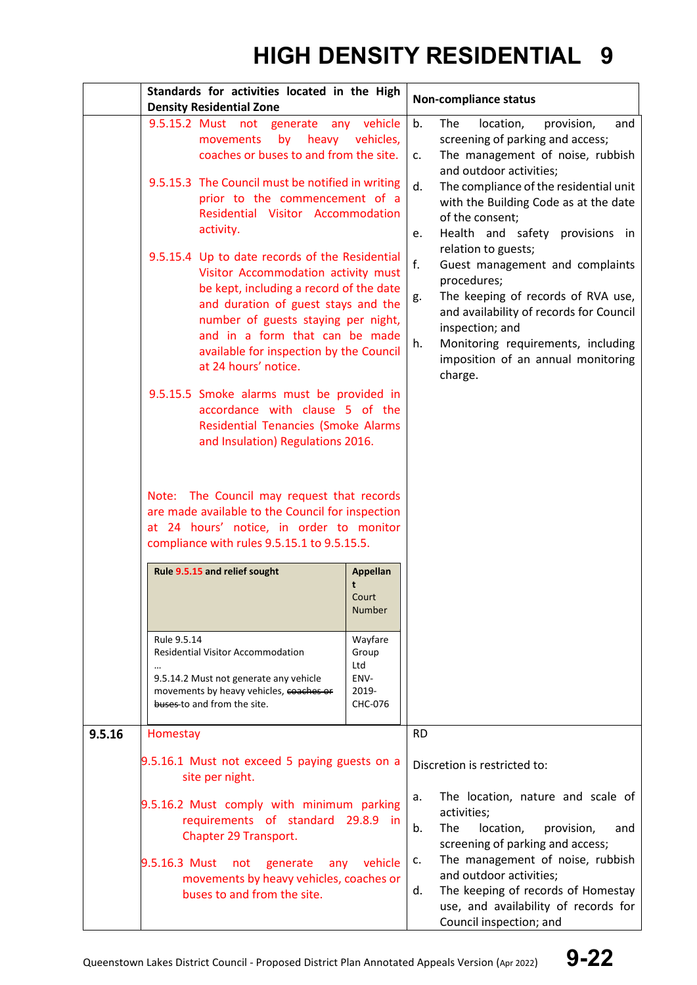|        | Standards for activities located in the High<br><b>Density Residential Zone</b>                                                                                                                                                                                                                                     |                                                                                                                                                                                                                                                                                                        | <b>Non-compliance status</b>                                                                                                                                                                                                                                                       |  |
|--------|---------------------------------------------------------------------------------------------------------------------------------------------------------------------------------------------------------------------------------------------------------------------------------------------------------------------|--------------------------------------------------------------------------------------------------------------------------------------------------------------------------------------------------------------------------------------------------------------------------------------------------------|------------------------------------------------------------------------------------------------------------------------------------------------------------------------------------------------------------------------------------------------------------------------------------|--|
|        | 9.5.15.2 Must not generate<br>any<br>by<br>heavy<br>movements<br>coaches or buses to and from the site.                                                                                                                                                                                                             | vehicle<br>vehicles,                                                                                                                                                                                                                                                                                   | b.<br>The<br>location,<br>provision,<br>and<br>screening of parking and access;<br>The management of noise, rubbish<br>C.<br>and outdoor activities;                                                                                                                               |  |
|        | 9.5.15.3 The Council must be notified in writing<br>prior to the commencement of a<br>Residential Visitor Accommodation<br>activity.                                                                                                                                                                                |                                                                                                                                                                                                                                                                                                        | The compliance of the residential unit<br>d.<br>with the Building Code as at the date<br>of the consent;<br>Health and safety provisions in<br>e.                                                                                                                                  |  |
|        | 9.5.15.4 Up to date records of the Residential<br>Visitor Accommodation activity must<br>be kept, including a record of the date<br>and duration of guest stays and the<br>number of guests staying per night,<br>and in a form that can be made<br>available for inspection by the Council<br>at 24 hours' notice. |                                                                                                                                                                                                                                                                                                        | relation to guests;<br>f.<br>Guest management and complaints<br>procedures;<br>The keeping of records of RVA use,<br>g.<br>and availability of records for Council<br>inspection; and<br>Monitoring requirements, including<br>h.<br>imposition of an annual monitoring<br>charge. |  |
|        | compliance with rules 9.5.15.1 to 9.5.15.5.                                                                                                                                                                                                                                                                         | 9.5.15.5 Smoke alarms must be provided in<br>accordance with clause 5 of the<br>Residential Tenancies (Smoke Alarms<br>and Insulation) Regulations 2016.<br>Note: The Council may request that records<br>are made available to the Council for inspection<br>at 24 hours' notice, in order to monitor |                                                                                                                                                                                                                                                                                    |  |
|        | Rule 9.5.15 and relief sought                                                                                                                                                                                                                                                                                       | Appellan<br>Court<br>Number                                                                                                                                                                                                                                                                            |                                                                                                                                                                                                                                                                                    |  |
|        | Rule 9.5.14<br><b>Residential Visitor Accommodation</b><br>9.5.14.2 Must not generate any vehicle<br>movements by heavy vehicles, coaches or<br>buses to and from the site.                                                                                                                                         | Wayfare<br>Group<br>Ltd<br>ENV-<br>2019-<br>CHC-076                                                                                                                                                                                                                                                    |                                                                                                                                                                                                                                                                                    |  |
| 9.5.16 | Homestay                                                                                                                                                                                                                                                                                                            |                                                                                                                                                                                                                                                                                                        | <b>RD</b>                                                                                                                                                                                                                                                                          |  |
|        | 9.5.16.1 Must not exceed 5 paying guests on a<br>site per night.                                                                                                                                                                                                                                                    |                                                                                                                                                                                                                                                                                                        | Discretion is restricted to:                                                                                                                                                                                                                                                       |  |
|        | 9.5.16.2 Must comply with minimum parking<br>requirements of standard 29.8.9 in<br>Chapter 29 Transport.<br>9.5.16.3 Must not<br>generate<br>any<br>movements by heavy vehicles, coaches or                                                                                                                         | vehicle                                                                                                                                                                                                                                                                                                | The location, nature and scale of<br>a.<br>activities;<br>The<br>location,<br>b.<br>provision,<br>and<br>screening of parking and access;<br>The management of noise, rubbish<br>c.<br>and outdoor activities;                                                                     |  |
|        | buses to and from the site.                                                                                                                                                                                                                                                                                         |                                                                                                                                                                                                                                                                                                        | The keeping of records of Homestay<br>d.<br>use, and availability of records for<br>Council inspection; and                                                                                                                                                                        |  |

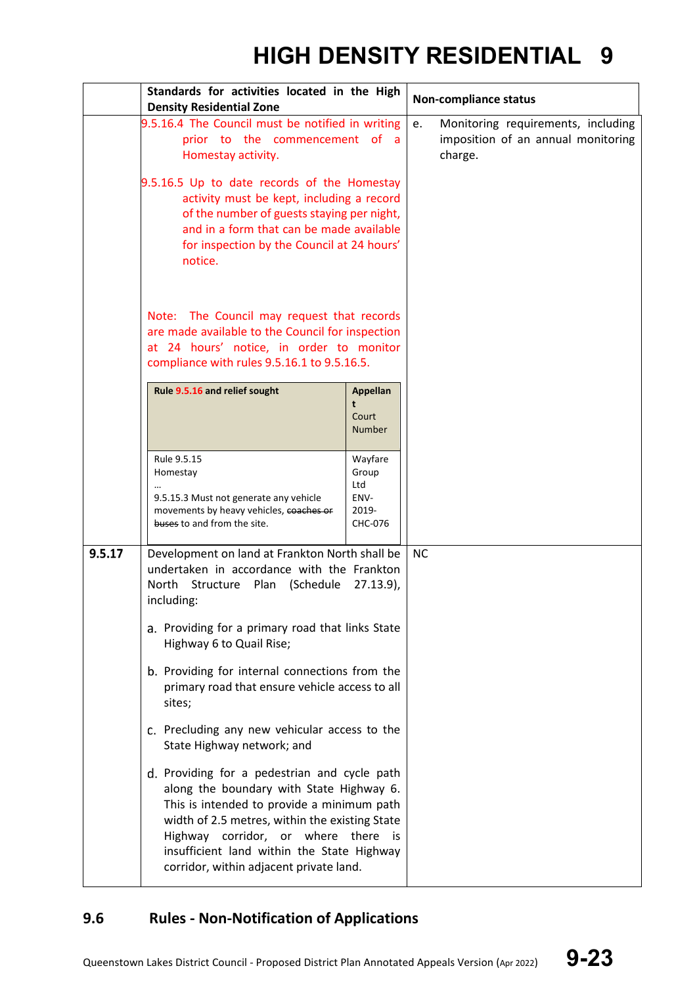|        | Standards for activities located in the High                                                                                                                                                                                                                                                                                                            |                                                     | <b>Non-compliance status</b>                                                              |
|--------|---------------------------------------------------------------------------------------------------------------------------------------------------------------------------------------------------------------------------------------------------------------------------------------------------------------------------------------------------------|-----------------------------------------------------|-------------------------------------------------------------------------------------------|
|        | <b>Density Residential Zone</b>                                                                                                                                                                                                                                                                                                                         |                                                     |                                                                                           |
|        | 9.5.16.4 The Council must be notified in writing<br>prior to the commencement of a<br>Homestay activity.<br>9.5.16.5 Up to date records of the Homestay<br>activity must be kept, including a record<br>of the number of guests staying per night,<br>and in a form that can be made available<br>for inspection by the Council at 24 hours'<br>notice. |                                                     | Monitoring requirements, including<br>e.<br>imposition of an annual monitoring<br>charge. |
|        | Note: The Council may request that records<br>are made available to the Council for inspection<br>at 24 hours' notice, in order to monitor<br>compliance with rules 9.5.16.1 to 9.5.16.5.                                                                                                                                                               |                                                     |                                                                                           |
|        | Rule 9.5.16 and relief sought                                                                                                                                                                                                                                                                                                                           | <b>Appellan</b><br>t<br>Court<br><b>Number</b>      |                                                                                           |
|        | Rule 9.5.15<br>Homestay<br>9.5.15.3 Must not generate any vehicle<br>movements by heavy vehicles, coaches or<br>buses to and from the site.                                                                                                                                                                                                             | Wayfare<br>Group<br>Ltd<br>ENV-<br>2019-<br>CHC-076 |                                                                                           |
| 9.5.17 | Development on land at Frankton North shall be<br>undertaken in accordance with the Frankton<br>North<br>Structure Plan<br>(Schedule<br>$27.13.9$ ,<br>including:                                                                                                                                                                                       |                                                     | <b>NC</b>                                                                                 |
|        | a. Providing for a primary road that links State<br>Highway 6 to Quail Rise;                                                                                                                                                                                                                                                                            |                                                     |                                                                                           |
|        | b. Providing for internal connections from the<br>primary road that ensure vehicle access to all<br>sites;<br>c. Precluding any new vehicular access to the<br>State Highway network; and                                                                                                                                                               |                                                     |                                                                                           |
|        |                                                                                                                                                                                                                                                                                                                                                         |                                                     |                                                                                           |
|        | d. Providing for a pedestrian and cycle path<br>along the boundary with State Highway 6.<br>This is intended to provide a minimum path<br>width of 2.5 metres, within the existing State<br>Highway corridor, or where there<br>insufficient land within the State Highway<br>corridor, within adjacent private land.                                   | is                                                  |                                                                                           |

### **9.6 Rules - Non-Notification of Applications**